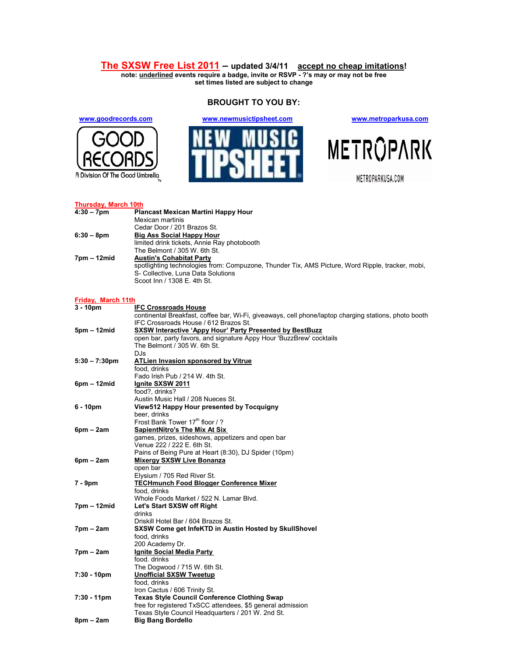## **The SXSW Free List 2011 – updated 3/4/11 accept no cheap imitations!**

**note: underlined events require a badge, invite or RSVP - ?'s may or may not be free set times listed are subject to change** 

**BROUGHT TO YOU BY:** 



**www.goodrecords.com www.newmusictipsheet.com www.metroparkusa.com**





| <b>Thursday, March 10th</b> |                                                                                                       |  |
|-----------------------------|-------------------------------------------------------------------------------------------------------|--|
| $4:30 - 7$ pm               | Plancast Mexican Martini Happy Hour                                                                   |  |
|                             | Mexican martinis                                                                                      |  |
|                             | Cedar Door / 201 Brazos St.                                                                           |  |
| $6:30 - 8pm$                | <u>Big Ass Social Happy Hour</u>                                                                      |  |
|                             | limited drink tickets, Annie Ray photobooth                                                           |  |
|                             | The Belmont / 305 W. 6th St.                                                                          |  |
| 7pm – 12mid                 | <b>Austin's Cohabitat Party</b>                                                                       |  |
|                             | spotlighting technologies from: Compuzone, Thunder Tix, AMS Picture, Word Ripple, tracker, mobi,      |  |
|                             | S- Collective, Luna Data Solutions                                                                    |  |
|                             | Scoot Inn / 1308 E. 4th St.                                                                           |  |
|                             |                                                                                                       |  |
| Friday, March 11th          |                                                                                                       |  |
| $3 - 10pm$                  | <b>IFC Crossroads House</b>                                                                           |  |
|                             | continental Breakfast, coffee bar, Wi-Fi, giveaways, cell phone/laptop charging stations, photo booth |  |
|                             | IFC Crossroads House / 612 Brazos St.                                                                 |  |
| 5pm – 12mid                 | <b>SXSW Interactive 'Appy Hour' Party Presented by BestBuzz</b>                                       |  |
|                             | open bar, party favors, and signature Appy Hour 'BuzzBrew' cocktails                                  |  |
|                             | The Belmont / 305 W. 6th St.                                                                          |  |
|                             | DJ <sub>S</sub>                                                                                       |  |
| $5:30 - 7:30 \text{pm}$     | <b>ATLien Invasion sponsored by Vitrue</b>                                                            |  |
|                             | food, drinks                                                                                          |  |
|                             | Fado Irish Pub / 214 W. 4th St.                                                                       |  |
| 6pm – 12mid                 | <u>Ignite SXSW 2011</u>                                                                               |  |
|                             | food?, drinks?                                                                                        |  |
|                             | Austin Music Hall / 208 Nueces St.                                                                    |  |
| 6 - 10pm                    | View512 Happy Hour presented by Tocquigny                                                             |  |
|                             | beer. drinks                                                                                          |  |
|                             | Frost Bank Tower 17 <sup>th</sup> floor / ?                                                           |  |
| $6pm - 2am$                 | <b>SapientNitro's The Mix At Six</b>                                                                  |  |
|                             | games, prizes, sideshows, appetizers and open bar                                                     |  |
|                             | Venue 222 / 222 E. 6th St.                                                                            |  |
|                             | Pains of Being Pure at Heart (8:30), DJ Spider (10pm)                                                 |  |
| $6pm - 2am$                 | <b>Mixergy SXSW Live Bonanza</b>                                                                      |  |
|                             | open bar                                                                                              |  |
|                             | Elysium / 705 Red River St.                                                                           |  |
| 7 - 9pm                     | <b>TECHmunch Food Blogger Conference Mixer</b>                                                        |  |
|                             | food. drinks                                                                                          |  |
|                             | Whole Foods Market / 522 N. Lamar Blvd.                                                               |  |
| 7pm – 12mid                 | Let's Start SXSW off Right                                                                            |  |
|                             | drinks                                                                                                |  |
|                             | Driskill Hotel Bar / 604 Brazos St.                                                                   |  |
| 7pm – 2am                   | SXSW Come get InfeKTD in Austin Hosted by SkullShovel                                                 |  |
|                             | food, drinks                                                                                          |  |
|                             | 200 Academy Dr.                                                                                       |  |
| 7pm – 2am                   | Ignite Social Media Party                                                                             |  |
|                             | food. drinks                                                                                          |  |
|                             | The Dogwood / 715 W. 6th St.                                                                          |  |
| 7:30 - 10pm                 | <b>Unofficial SXSW Tweetup</b>                                                                        |  |
|                             | food, drinks                                                                                          |  |
|                             | Iron Cactus / 606 Trinity St.                                                                         |  |
| 7:30 - 11pm                 | <b>Texas Style Council Conference Clothing Swap</b>                                                   |  |
|                             | free for registered TxSCC attendees, \$5 general admission                                            |  |
|                             | Texas Style Council Headquarters / 201 W. 2nd St.                                                     |  |
| 8pm – 2am                   | <b>Big Bang Bordello</b>                                                                              |  |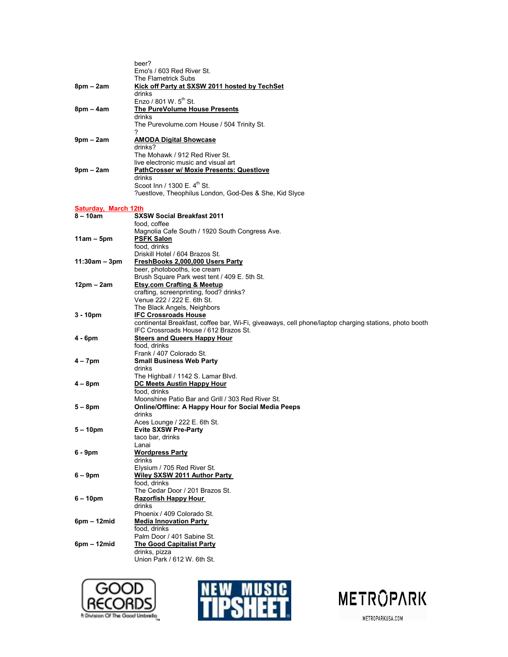|                      | beer?                                                                                                                                          |
|----------------------|------------------------------------------------------------------------------------------------------------------------------------------------|
|                      | Emo's / 603 Red River St.                                                                                                                      |
|                      | The Flametrick Subs                                                                                                                            |
| $8pm - 2am$          | Kick off Party at SXSW 2011 hosted by TechSet                                                                                                  |
|                      | drinks                                                                                                                                         |
|                      | Enzo / 801 W. 5 <sup>th</sup> St.                                                                                                              |
| 8pm – 4am            | The PureVolume House Presents                                                                                                                  |
|                      | drinks                                                                                                                                         |
|                      | The Purevolume.com House / 504 Trinity St.<br>7                                                                                                |
| $9$ pm – $2$ am      | <u>AMODA Digital Showcase</u>                                                                                                                  |
|                      | drinks?                                                                                                                                        |
|                      | The Mohawk / 912 Red River St.                                                                                                                 |
|                      | live electronic music and visual art                                                                                                           |
| $9pm - 2am$          | <b>PathCrosser w/ Moxie Presents: Questlove</b>                                                                                                |
|                      | drinks                                                                                                                                         |
|                      | Scoot Inn / 1300 $E. 4m$ St.                                                                                                                   |
|                      | ?uestlove, Theophilus London, God-Des & She, Kid Slyce                                                                                         |
|                      |                                                                                                                                                |
| Saturday, March 12th |                                                                                                                                                |
| 8 – 10am             | <b>SXSW Social Breakfast 2011</b>                                                                                                              |
|                      | food, coffee<br>Magnolia Cafe South / 1920 South Congress Ave.                                                                                 |
| $11am - 5pm$         | <b>PSFK Salon</b>                                                                                                                              |
|                      | food, drinks                                                                                                                                   |
|                      | Driskill Hotel / 604 Brazos St.                                                                                                                |
| 11:30am – 3pm        | <u>FreshBooks 2,000,000 Users Party</u>                                                                                                        |
|                      | beer, photobooths, ice cream                                                                                                                   |
|                      | Brush Square Park west tent / 409 E. 5th St.                                                                                                   |
| 12pm – 2am           | <b>Etsy.com Crafting &amp; Meetup</b>                                                                                                          |
|                      | crafting, screenprinting, food? drinks?                                                                                                        |
|                      | Venue 222 / 222 E. 6th St.                                                                                                                     |
|                      | The Black Angels, Neighbors                                                                                                                    |
| 3 - 10pm             | <b>IFC Crossroads House</b>                                                                                                                    |
|                      | continental Breakfast, coffee bar, Wi-Fi, giveaways, cell phone/laptop charging stations, photo booth<br>IFC Crossroads House / 612 Brazos St. |
| 4 - 6pm              | <u>Steers and Queers Happy Hour</u>                                                                                                            |
|                      | food, drinks                                                                                                                                   |
|                      | Frank / 407 Colorado St.                                                                                                                       |
| 4 – 7pm              | Small Business Web Party                                                                                                                       |
|                      | drinks                                                                                                                                         |
|                      | The Highball / 1142 S. Lamar Blvd.                                                                                                             |
| $4-8$ pm             | <u>DC Meets Austin Happy Hour</u>                                                                                                              |
|                      | food, drinks                                                                                                                                   |
|                      | Moonshine Patio Bar and Grill / 303 Red River St.                                                                                              |
| $5-8$ pm             | <b>Online/Offline: A Happy Hour for Social Media Peeps</b>                                                                                     |
|                      | drinks<br>Aces Lounge / 222 E. 6th St.                                                                                                         |
| $5 - 10$ pm          | <b>Evite SXSW Pre-Party</b>                                                                                                                    |
|                      | taco bar, drinks                                                                                                                               |
|                      | Lanai                                                                                                                                          |
| 6 - 9pm              | <b>Wordpress Party</b>                                                                                                                         |
|                      | drinks                                                                                                                                         |
|                      | Elysium / 705 Red River St.                                                                                                                    |
| $6 - 9$ pm           | Wiley SXSW 2011 Author Party                                                                                                                   |
|                      | food, drinks                                                                                                                                   |
| $6 - 10$ pm          | The Cedar Door / 201 Brazos St.<br><b>Razorfish Happy Hour</b>                                                                                 |
|                      | drinks                                                                                                                                         |
|                      | Phoenix / 409 Colorado St.                                                                                                                     |
| $6pm - 12mid$        | <b>Media Innovation Party</b>                                                                                                                  |
|                      | food, drinks                                                                                                                                   |
|                      | Palm Door / 401 Sabine St.                                                                                                                     |
| $6pm - 12mid$        | <b>The Good Capitalist Party</b>                                                                                                               |
|                      | drinks, pizza                                                                                                                                  |
|                      | Union Park / 612 W. 6th St.                                                                                                                    |
|                      |                                                                                                                                                |





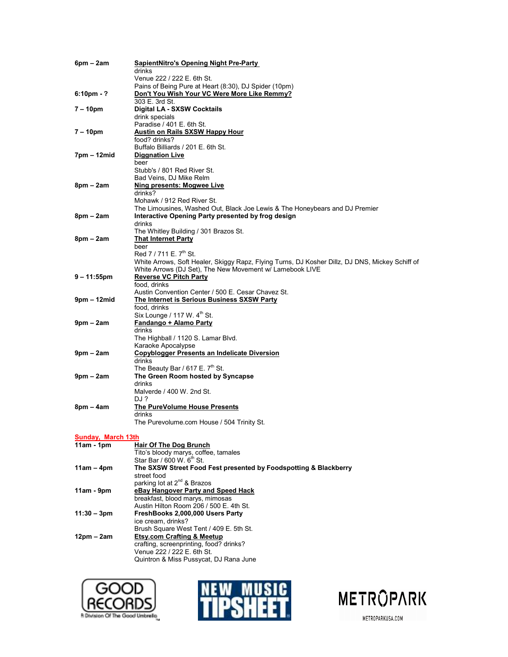| $6pm - 2am$               | <b>SapientNitro's Opening Night Pre-Party</b>                                                   |
|---------------------------|-------------------------------------------------------------------------------------------------|
|                           | drinks<br>Venue 222 / 222 E. 6th St.                                                            |
|                           | Pains of Being Pure at Heart (8:30), DJ Spider (10pm)                                           |
| $6:10 \text{pm} - ?$      | Don't You Wish Your VC Were More Like Remmy?                                                    |
| 7 – 10pm                  | 303 E. 3rd St.<br>Digital LA - SXSW Cocktails                                                   |
|                           | drink specials                                                                                  |
|                           | Paradise / 401 E. 6th St.                                                                       |
| 7 – 10pm                  | <b>Austin on Rails SXSW Happy Hour</b>                                                          |
|                           | food? drinks?<br>Buffalo Billiards / 201 E. 6th St.                                             |
| 7pm – 12mid               | <b>Diggnation Live</b>                                                                          |
|                           | beer                                                                                            |
|                           | Stubb's / 801 Red River St.                                                                     |
|                           | Bad Veins, DJ Mike Relm                                                                         |
| $8pm - 2am$               | Ning presents: Mogwee Live                                                                      |
|                           | drinks?<br>Mohawk / 912 Red River St.                                                           |
|                           | The Limousines, Washed Out, Black Joe Lewis & The Honeybears and DJ Premier                     |
| $8pm - 2am$               | Interactive Opening Party presented by frog design                                              |
|                           | drinks                                                                                          |
|                           | The Whitley Building / 301 Brazos St.                                                           |
| $8pm - 2am$               | <b>That Internet Party</b><br>beer                                                              |
|                           | Red 7 / 711 E. 7 <sup>th</sup> St.                                                              |
|                           | White Arrows, Soft Healer, Skiggy Rapz, Flying Turns, DJ Kosher Dillz, DJ DNS, Mickey Schiff of |
|                           | White Arrows (DJ Set), The New Movement w/ Lamebook LIVE                                        |
| $9 - 11:55$ pm            | <b>Reverse VC Pitch Party</b>                                                                   |
|                           | food, drinks<br>Austin Convention Center / 500 E. Cesar Chavez St.                              |
| 9pm – 12mid               | The Internet is Serious Business SXSW Party                                                     |
|                           | food, drinks                                                                                    |
|                           | Six Lounge / 117 W. 4 <sup>th</sup> St.                                                         |
| $9pm - 2am$               | Fandango + Alamo Party                                                                          |
|                           | drinks<br>The Highball / 1120 S. Lamar Blvd.                                                    |
|                           | Karaoke Apocalypse                                                                              |
| $9pm - 2am$               | <b>Copyblogger Presents an Indelicate Diversion</b>                                             |
|                           | drinks                                                                                          |
|                           | The Beauty Bar / 617 E. $7th$ St.                                                               |
| $9pm - 2am$               | The Green Room hosted by Syncapse<br>drinks                                                     |
|                           | Malverde / 400 W. 2nd St.                                                                       |
|                           | DJ ?                                                                                            |
| $8pm - 4am$               | <b>The PureVolume House Presents</b>                                                            |
|                           | drinks<br>The Purevolume.com House / 504 Trinity St.                                            |
|                           |                                                                                                 |
| <b>Sunday, March 13th</b> |                                                                                                 |
| $11am - 1pm$              | <b>Hair Of The Dog Brunch</b>                                                                   |
|                           | Tito's bloody marys, coffee, tamales<br>Star Bar / 600 W. 6 <sup>th</sup> St.                   |
| $11am - 4pm$              | The SXSW Street Food Fest presented by Foodspotting & Blackberry                                |
|                           | street food                                                                                     |
|                           | parking lot at 2 <sup>nd</sup> & Brazos                                                         |
| $11am - 9pm$              | eBay Hangover Party and Speed Hack                                                              |
|                           | breakfast, blood marys, mimosas<br>Austin Hilton Room 206 / 500 E. 4th St.                      |
| 11:30 – 3pm               | FreshBooks 2,000,000 Users Party                                                                |
|                           | ice cream. drinks?                                                                              |
|                           | Brush Square West Tent / 409 E. 5th St.                                                         |
| 12pm – 2am                | <b>Etsy.com Crafting &amp; Meetup</b>                                                           |
|                           | crafting, screenprinting, food? drinks?<br>Venue 222 / 222 E. 6th St.                           |
|                           | Quintron & Miss Pussycat, DJ Rana June                                                          |
|                           |                                                                                                 |





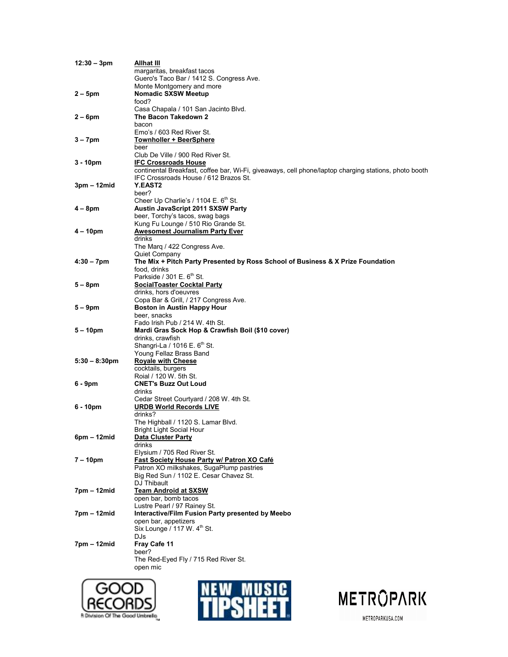| $12:30 - 3pm$           | Allhat III                                                                                            |
|-------------------------|-------------------------------------------------------------------------------------------------------|
|                         | margaritas, breakfast tacos                                                                           |
|                         | Guero's Taco Bar / 1412 S. Congress Ave.                                                              |
|                         | Monte Montgomery and more                                                                             |
| $2 - 5$ pm              | <b>Nomadic SXSW Meetup</b>                                                                            |
|                         | food?                                                                                                 |
|                         |                                                                                                       |
|                         | Casa Chapala / 101 San Jacinto Blvd.                                                                  |
| $2-6$ pm                | The Bacon Takedown 2                                                                                  |
|                         | bacon                                                                                                 |
|                         | Emo's / 603 Red River St.                                                                             |
| $3 - 7$ pm              | <u> Townholler + BeerSphere</u>                                                                       |
|                         | beer                                                                                                  |
|                         | Club De Ville / 900 Red River St.                                                                     |
| $3 - 10pm$              | <b>IFC Crossroads House</b>                                                                           |
|                         | continental Breakfast, coffee bar, Wi-Fi, giveaways, cell phone/laptop charging stations, photo booth |
|                         | IFC Crossroads House / 612 Brazos St.                                                                 |
|                         |                                                                                                       |
| 3pm – 12mid             | <b>Y.EAST2</b>                                                                                        |
|                         | beer?                                                                                                 |
|                         | Cheer Up Charlie's / 1104 $E. 6m$ St.                                                                 |
| $4-8$ pm                | Austin JavaScript 2011 SXSW Party                                                                     |
|                         | beer, Torchy's tacos, swag bags                                                                       |
|                         | Kung Fu Lounge / 510 Rio Grande St.                                                                   |
| $4 - 10pm$              | <b>Awesomest Journalism Party Ever</b>                                                                |
|                         | drinks                                                                                                |
|                         |                                                                                                       |
|                         | The Marg / 422 Congress Ave.                                                                          |
|                         | Quiet Company                                                                                         |
| $4:30 - 7$ pm           | The Mix + Pitch Party Presented by Ross School of Business & X Prize Foundation                       |
|                         | food, drinks                                                                                          |
|                         | Parkside / $301 E. 6m$ St.                                                                            |
| $5-8$ pm                | <b>SocialToaster Cocktal Party</b>                                                                    |
|                         | drinks, hors d'oeuvres                                                                                |
|                         | Copa Bar & Grill, / 217 Congress Ave.                                                                 |
| $5-9$ pm                | <b>Boston in Austin Happy Hour</b>                                                                    |
|                         | beer, snacks                                                                                          |
|                         |                                                                                                       |
|                         | Fado Irish Pub / 214 W. 4th St.                                                                       |
| $5 - 10pm$              | Mardi Gras Sock Hop & Crawfish Boil (\$10 cover)                                                      |
|                         | drinks, crawfish                                                                                      |
|                         | Shangri-La / 1016 $E. 6m$ St.                                                                         |
|                         | Young Fellaz Brass Band                                                                               |
| $5:30 - 8:30 \text{pm}$ | <b>Royale with Cheese</b>                                                                             |
|                         | cocktails, burgers                                                                                    |
|                         | Roial / 120 W. 5th St.                                                                                |
| 6 - 9pm                 | <b>CNET's Buzz Out Loud</b>                                                                           |
|                         | drinks                                                                                                |
|                         |                                                                                                       |
|                         | Cedar Street Courtyard / 208 W. 4th St.                                                               |
| 6 - 10pm                | <b>URDB World Records LIVE</b>                                                                        |
|                         | drinks?                                                                                               |
|                         | The Highball / 1120 S. Lamar Blvd.                                                                    |
|                         | Bright Light Social Hour                                                                              |
| $6pm - 12mid$           | <b>Data Cluster Party</b>                                                                             |
|                         | drinks                                                                                                |
|                         | Elysium / 705 Red River St.                                                                           |
| 7 – 10pm                | <b>Fast Society House Party w/ Patron XO Café</b>                                                     |
|                         | Patron XO milkshakes, SugaPlump pastries                                                              |
|                         | Big Red Sun / 1102 E. Cesar Chavez St.                                                                |
|                         |                                                                                                       |
|                         | DJ Thibault                                                                                           |
| 7pm – 12mid             | <b>Team Android at SXSW</b>                                                                           |
|                         | open bar, bomb tacos                                                                                  |
|                         | Lustre Pearl / 97 Rainey St.                                                                          |
| 7pm – 12mid             | Interactive/Film Fusion Party presented by Meebo                                                      |
|                         | open bar, appetizers                                                                                  |
|                         | Six Lounge / 117 W. 4 <sup>th</sup> St.                                                               |
|                         | DJs                                                                                                   |
| 7pm – 12mid             | Fray Cafe 11                                                                                          |
|                         |                                                                                                       |
|                         | beer?                                                                                                 |
|                         | The Red-Eyed Fly / 715 Red River St.                                                                  |
|                         | open mic                                                                                              |
|                         |                                                                                                       |





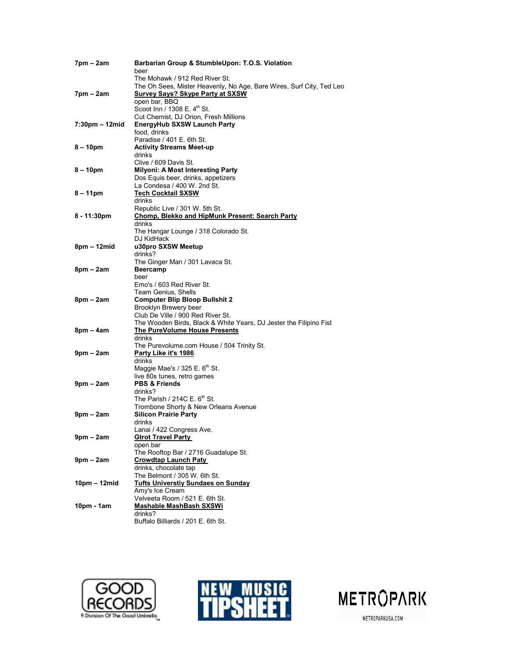| 7pm – 2am       | Barbarian Group & StumbleUpon: T.O.S. Violation                      |
|-----------------|----------------------------------------------------------------------|
|                 | beer                                                                 |
|                 | The Mohawk / 912 Red River St.                                       |
|                 | The Oh Sees, Mister Heavenly, No Age, Bare Wires, Surf City, Ted Leo |
| $7pm - 2am$     | <b>Survey Says? Skype Party at SXSW</b>                              |
|                 | open bar, BBQ                                                        |
|                 | Scoot Inn / 1308 $E. 4th$ St.                                        |
| 7:30pm - 12mid  | Cut Chemist, DJ Orion, Fresh Millions                                |
|                 | <b>EnergyHub SXSW Launch Party</b><br>food, drinks                   |
|                 | Paradise / 401 E. 6th St.                                            |
| 8 – 10pm        | <b>Activity Streams Meet-up</b>                                      |
|                 | drinks                                                               |
|                 | Clive / 609 Davis St.                                                |
| $8 - 10$ pm     | <b>Milyoni: A Most Interesting Party</b>                             |
|                 | Dos Equis beer, drinks, appetizers                                   |
|                 | La Condesa / 400 W. 2nd St.                                          |
| $8 - 11$ pm     | <b>Tech Cocktail SXSW</b>                                            |
|                 | drinks                                                               |
|                 | Republic Live / 301 W. 5th St.                                       |
| 8 - 11:30pm     | Chomp, Blekko and HipMunk Present: Search Party                      |
|                 | drinks                                                               |
|                 | The Hangar Lounge / 318 Colorado St.                                 |
|                 | DJ KidHack                                                           |
| 8pm – 12mid     | u30pro SXSW Meetup                                                   |
|                 | drinks?                                                              |
|                 | The Ginger Man / 301 Lavaca St.                                      |
| 8pm – 2am       | <b>Beercamp</b>                                                      |
|                 | beer                                                                 |
|                 | Emo's / 603 Red River St.<br>Team Genius, Shells                     |
| $8pm - 2am$     | <b>Computer Blip Bloop Bullshit 2</b>                                |
|                 | Brooklyn Brewery beer                                                |
|                 | Club De Ville / 900 Red River St.                                    |
|                 | The Wooden Birds, Black & White Years, DJ Jester the Filipino Fist   |
| $8pm - 4am$     | <b>The PureVolume House Presents</b>                                 |
|                 | drinks                                                               |
|                 | The Purevolume.com House / 504 Trinity St.                           |
| $9$ pm – $2$ am | <u>Party Like it's 1986</u>                                          |
|                 | drinks                                                               |
|                 | Maggie Mae's / 325 E. 6 <sup>th</sup> St.                            |
|                 | live 80s tunes, retro games                                          |
| $9$ pm – $2$ am | <b>PBS &amp; Friends</b>                                             |
|                 | drinks?                                                              |
|                 | The Parish / 214C E. $6th$ St.                                       |
|                 | Trombone Shorty & New Orleans Avenue                                 |
| $9$ pm – $2$ am | <b>Silicon Prairie Party</b>                                         |
|                 | drinks                                                               |
|                 | Lanai / 422 Congress Ave                                             |
| $9pm - 2am$     | <b>Gtrot Travel Party</b>                                            |
|                 | open bar<br>The Rooftop Bar / 2716 Guadalupe St.                     |
| 9pm – 2am       | <b>Crowdtap Launch Paty</b>                                          |
|                 | drinks, chocolate tap                                                |
|                 | The Belmont / 305 W. 6th St.                                         |
| 10pm – 12mid    | <b>Tufts Universtiy Sundaes on Sunday</b>                            |
|                 | Amy's Ice Cream                                                      |
|                 | Velveeta Room / 521 E. 6th St.                                       |
| 10pm - 1am      | Mashable MashBash SXSWi                                              |
|                 | drinks?                                                              |
|                 | Buffalo Billiards / 201 E. 6th St.                                   |





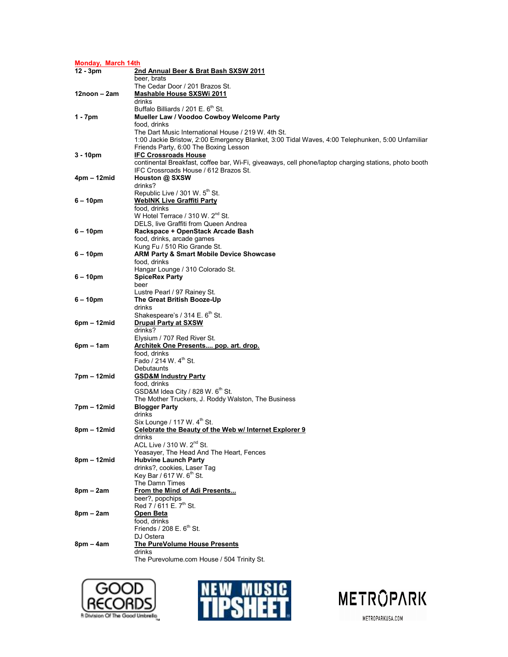| Monday, March 14th |                                                                                                       |  |
|--------------------|-------------------------------------------------------------------------------------------------------|--|
| $12 - 3pm$         | 2nd Annual Beer & Brat Bash SXSW 2011                                                                 |  |
|                    | beer, brats                                                                                           |  |
|                    | The Cedar Door / 201 Brazos St.                                                                       |  |
| 12noon – 2am       | <b>Mashable House SXSWi 2011</b>                                                                      |  |
|                    | drinks                                                                                                |  |
|                    | Buffalo Billiards / 201 E. 6 <sup>th</sup> St.                                                        |  |
| 1 - 7pm            | Mueller Law / Voodoo Cowboy Welcome Party                                                             |  |
|                    | food, drinks<br>The Dart Music International House / 219 W. 4th St.                                   |  |
|                    | 1:00 Jackie Bristow, 2:00 Emergency Blanket, 3:00 Tidal Waves, 4:00 Telephunken, 5:00 Unfamiliar      |  |
|                    | Friends Party, 6:00 The Boxing Lesson                                                                 |  |
| $3 - 10pm$         | <b>IFC Crossroads House</b>                                                                           |  |
|                    | continental Breakfast, coffee bar, Wi-Fi, giveaways, cell phone/laptop charging stations, photo booth |  |
|                    | IFC Crossroads House / 612 Brazos St.                                                                 |  |
| 4pm – 12mid        | Houston @ SXSW                                                                                        |  |
|                    | drinks?                                                                                               |  |
|                    | Republic Live / 301 W. 5 <sup>th</sup> St.                                                            |  |
| $6 - 10$ pm        | <b>WebINK Live Graffiti Party</b>                                                                     |  |
|                    | food, drinks                                                                                          |  |
|                    | W Hotel Terrace / 310 W. 2 <sup>nd</sup> St.                                                          |  |
|                    | DELS, live Graffiti from Queen Andrea                                                                 |  |
| $6 - 10$ pm        | Rackspace + OpenStack Arcade Bash                                                                     |  |
|                    | food, drinks, arcade games                                                                            |  |
| $6 - 10$ pm        | Kung Fu / 510 Rio Grande St.<br>ARM Party & Smart Mobile Device Showcase                              |  |
|                    | food, drinks                                                                                          |  |
|                    | Hangar Lounge / 310 Colorado St.                                                                      |  |
| $6 - 10$ pm        | <b>SpiceRex Party</b>                                                                                 |  |
|                    | beer                                                                                                  |  |
|                    | Lustre Pearl / 97 Rainey St.                                                                          |  |
| $6 - 10$ pm        | The Great British Booze-Up                                                                            |  |
|                    | drinks                                                                                                |  |
|                    | Shakespeare's / 314 E. 6 <sup>th</sup> St.                                                            |  |
| $6pm - 12mid$      | <b>Drupal Party at SXSW</b>                                                                           |  |
|                    | drinks?                                                                                               |  |
|                    | Elysium / 707 Red River St.                                                                           |  |
| $6pm - 1am$        | Architek One Presents pop. art. drop.                                                                 |  |
|                    | food, drinks<br>Fado / 214 W. 4 <sup>th</sup> St.                                                     |  |
|                    | Debutaunts                                                                                            |  |
| 7pm – 12mid        | <b>GSD&amp;M Industry Party</b>                                                                       |  |
|                    | food, drinks                                                                                          |  |
|                    | GSD&M Idea City / 828 W. 6 <sup>th</sup> St.                                                          |  |
|                    | The Mother Truckers, J. Roddy Walston, The Business                                                   |  |
| 7pm – 12mid        | <b>Blogger Party</b>                                                                                  |  |
|                    | drinks                                                                                                |  |
|                    | Six Lounge / 117 W. $4th$ St.                                                                         |  |
| 8pm – 12mid        | Celebrate the Beauty of the Web w/ Internet Explorer 9                                                |  |
|                    | drinks                                                                                                |  |
|                    | ACL Live / 310 W. 2 <sup>nd</sup> St.                                                                 |  |
|                    | Yeasayer, The Head And The Heart, Fences                                                              |  |
| 8pm – 12mid        | <b>Hubvine Launch Party</b><br>drinks?, cookies, Laser Tag                                            |  |
|                    | Key Bar / 617 W. 6 <sup>th</sup> St.                                                                  |  |
|                    | The Damn Times                                                                                        |  |
| $8pm - 2am$        | From the Mind of Adi Presents                                                                         |  |
|                    | beer?, popchips                                                                                       |  |
|                    | Red 7 / 611 E. 7 <sup>th</sup> St.                                                                    |  |
| $8pm - 2am$        | Open Beta                                                                                             |  |
|                    | food, drinks                                                                                          |  |
|                    | Friends / $208$ E. $6th$ St.                                                                          |  |
|                    | DJ Ostera                                                                                             |  |
| $8pm - 4am$        | The PureVolume House Presents                                                                         |  |
|                    | drinks                                                                                                |  |
|                    | The Purevolume.com House / 504 Trinity St.                                                            |  |





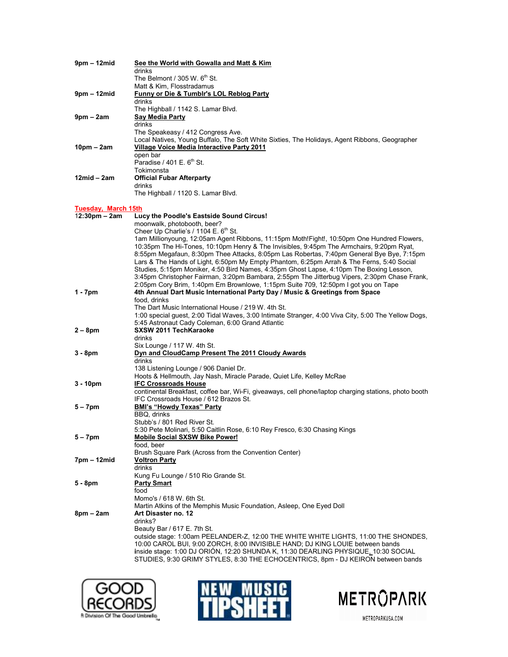| $9pm - 12mid$                   | See the World with Gowalla and Matt & Kim                                                                                                                          |
|---------------------------------|--------------------------------------------------------------------------------------------------------------------------------------------------------------------|
|                                 | drinks                                                                                                                                                             |
|                                 | The Belmont / 305 W. $6th$ St.                                                                                                                                     |
|                                 | Matt & Kim, Flosstradamus                                                                                                                                          |
| $9pm - 12mid$                   | Funny or Die & Tumblr's LOL Reblog Party                                                                                                                           |
|                                 | drinks                                                                                                                                                             |
|                                 | The Highball / 1142 S. Lamar Blvd.                                                                                                                                 |
| $9pm - 2am$                     | Say Media Party                                                                                                                                                    |
|                                 | drinks                                                                                                                                                             |
|                                 | The Speakeasy / 412 Congress Ave.                                                                                                                                  |
|                                 | Local Natives, Young Buffalo, The Soft White Sixties, The Holidays, Agent Ribbons, Geographer                                                                      |
| $10pm - 2am$                    | Village Voice Media Interactive Party 2011<br>open bar                                                                                                             |
|                                 | Paradise / $401 E. 6th St.$                                                                                                                                        |
|                                 | Tokimonsta                                                                                                                                                         |
| 12mid – 2am                     | <b>Official Fubar Afterparty</b>                                                                                                                                   |
|                                 | drinks                                                                                                                                                             |
|                                 | The Highball / 1120 S. Lamar Blvd.                                                                                                                                 |
|                                 |                                                                                                                                                                    |
| Tuesday, March 15th             |                                                                                                                                                                    |
| $12:30 \text{pm} - 2 \text{am}$ | Lucy the Poodle's Eastside Sound Circus!                                                                                                                           |
|                                 | moonwalk, photobooth, beer?                                                                                                                                        |
|                                 | Cheer Up Charlie's / 1104 E. 6 <sup>th</sup> St.                                                                                                                   |
|                                 | 1am Millionyoung, 12:05am Agent Ribbons, 11:15pm Moth!Fight!, 10:50pm One Hundred Flowers,                                                                         |
|                                 | 10:35pm The Hi-Tones, 10:10pm Henry & The Invisibles, 9:45pm The Armchairs, 9:20pm Ryat,                                                                           |
|                                 | 8:55pm Megafaun, 8:30pm Thee Attacks, 8:05pm Las Robertas, 7:40pm General Bye Bye, 7:15pm                                                                          |
|                                 | Lars & The Hands of Light, 6:50pm My Empty Phantom, 6:25pm Arrah & The Ferns, 5:40 Social                                                                          |
|                                 | Studies, 5:15pm Moniker, 4:50 Bird Names, 4:35pm Ghost Lapse, 4:10pm The Boxing Lesson,                                                                            |
|                                 | 3:45pm Christopher Fairman, 3:20pm Bambara, 2:55pm The Jitterbug Vipers, 2:30pm Chase Frank,                                                                       |
|                                 | 2:05pm Cory Brim, 1:40pm Em Brownlowe, 1:15pm Suite 709, 12:50pm I got you on Tape<br>4th Annual Dart Music International Party Day / Music & Greetings from Space |
| $1 - 7$ pm                      | food, drinks                                                                                                                                                       |
|                                 | The Dart Music International House / 219 W, 4th St.                                                                                                                |
|                                 | 1:00 special guest, 2:00 Tidal Waves, 3:00 Intimate Stranger, 4:00 Viva City, 5:00 The Yellow Dogs,                                                                |
|                                 | 5:45 Astronaut Cady Coleman, 6:00 Grand Atlantic                                                                                                                   |
| $2 - 8$ pm                      | <b>SXSW 2011 TechKaraoke</b>                                                                                                                                       |
|                                 | drinks                                                                                                                                                             |
|                                 | Six Lounge / 117 W. 4th St.                                                                                                                                        |
| $3 - 8pm$                       | Dyn and CloudCamp Present The 2011 Cloudy Awards                                                                                                                   |
|                                 | drinks                                                                                                                                                             |
|                                 | 138 Listening Lounge / 906 Daniel Dr.                                                                                                                              |
|                                 | Hoots & Hellmouth, Jay Nash, Miracle Parade, Quiet Life, Kelley McRae                                                                                              |
| $3 - 10pm$                      | <b>IFC Crossroads House</b>                                                                                                                                        |
|                                 | continental Breakfast, coffee bar, Wi-Fi, giveaways, cell phone/laptop charging stations, photo booth                                                              |
|                                 | IFC Crossroads House / 612 Brazos St.                                                                                                                              |
| $5 - 7$ pm                      | <b>BMI's "Howdy Texas" Party</b>                                                                                                                                   |
|                                 | BBQ, drinks                                                                                                                                                        |
|                                 | Stubb's / 801 Red River St.                                                                                                                                        |
|                                 | 5:30 Pete Molinari, 5:50 Caitlin Rose, 6:10 Rey Fresco, 6:30 Chasing Kings                                                                                         |
| $5 - 7$ pm                      | <b>Mobile Social SXSW Bike Power!</b>                                                                                                                              |
|                                 | food, beer                                                                                                                                                         |
|                                 | Brush Square Park (Across from the Convention Center)                                                                                                              |
| 7pm – 12mid                     | <b>Voltron Party</b><br>drinks                                                                                                                                     |
|                                 | Kung Fu Lounge / 510 Rio Grande St.                                                                                                                                |
| 5 - 8pm                         | <b>Party Smart</b>                                                                                                                                                 |
|                                 | food                                                                                                                                                               |
|                                 | Momo's / 618 W. 6th St.                                                                                                                                            |
|                                 | Martin Atkins of the Memphis Music Foundation, Asleep, One Eyed Doll                                                                                               |
| $8pm - 2am$                     | Art Disaster no. 12                                                                                                                                                |
|                                 | drinks?                                                                                                                                                            |
|                                 | Beauty Bar / 617 E. 7th St.                                                                                                                                        |
|                                 | outside stage: 1:00am PEELANDER-Z, 12:00 THE WHITE WHITE LIGHTS, 11:00 THE SHONDES,                                                                                |
|                                 | 10:00 CAROL BUI, 9:00 ZORCH, 8:00 INVISIBLE HAND; DJ KING LOUIE between bands                                                                                      |
|                                 | inside stage: 1:00 DJ ORIÓN, 12:20 SHUNDA K, 11:30 DEARLING PHYSIQUE, 10:30 SOCIAL                                                                                 |
|                                 | STUDIES, 9:30 GRIMY STYLES, 8:30 THE ECHOCENTRICS, 8pm - DJ KEIRON between bands                                                                                   |
|                                 |                                                                                                                                                                    |





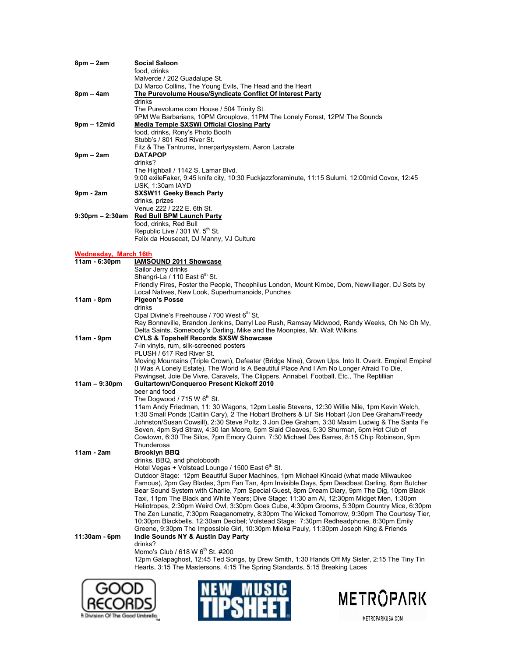| 8pm – 2am                    | <b>Social Saloon</b><br>food, drinks                                                                                                                                                             |
|------------------------------|--------------------------------------------------------------------------------------------------------------------------------------------------------------------------------------------------|
|                              | Malverde / 202 Guadalupe St.<br>DJ Marco Collins, The Young Evils, The Head and the Heart                                                                                                        |
| $8pm - 4am$                  | The Purevolume House/Syndicate Conflict Of Interest Party                                                                                                                                        |
|                              | drinks                                                                                                                                                                                           |
|                              | The Purevolume.com House / 504 Trinity St.                                                                                                                                                       |
| $9pm - 12mid$                | 9PM We Barbarians, 10PM Grouplove, 11PM The Lonely Forest, 12PM The Sounds<br><b>Media Temple SXSWi Official Closing Party</b>                                                                   |
|                              | food, drinks, Rony's Photo Booth                                                                                                                                                                 |
|                              | Stubb's / 801 Red River St.                                                                                                                                                                      |
|                              | Fitz & The Tantrums, Innerpartysystem, Aaron Lacrate                                                                                                                                             |
| $9$ pm – $2$ am              | <b>DATAPOP</b><br>drinks?                                                                                                                                                                        |
|                              | The Highball / 1142 S. Lamar Blvd.                                                                                                                                                               |
|                              | 9:00 exileFaker, 9:45 knife city, 10:30 Fuckjazzforaminute, 11:15 Sulumi, 12:00mid Covox, 12:45                                                                                                  |
|                              | USK, 1:30am IAYD                                                                                                                                                                                 |
| $9pm - 2am$                  | <b>SXSW11 Geeky Beach Party</b><br>drinks, prizes                                                                                                                                                |
|                              | Venue 222 / 222 E. 6th St.                                                                                                                                                                       |
|                              | 9:30pm - 2:30am Red Bull BPM Launch Party                                                                                                                                                        |
|                              | food, drinks, Red Bull                                                                                                                                                                           |
|                              | Republic Live / 301 W. 5 <sup>th</sup> St.<br>Felix da Housecat, DJ Manny, VJ Culture                                                                                                            |
|                              |                                                                                                                                                                                                  |
| <b>Wednesday, March 16th</b> |                                                                                                                                                                                                  |
| 11am - 6:30pm                | <b>IAMSOUND 2011 Showcase</b><br>Sailor Jerry drinks                                                                                                                                             |
|                              | Shangri-La / 110 East 6 <sup>th</sup> St.                                                                                                                                                        |
|                              | Friendly Fires, Foster the People, Theophilus London, Mount Kimbe, Dom, Newvillager, DJ Sets by                                                                                                  |
|                              | Local Natives, New Look, Superhumanoids, Punches                                                                                                                                                 |
| $11am - 8pm$                 | <b>Pigeon's Posse</b><br>drinks                                                                                                                                                                  |
|                              | Opal Divine's Freehouse / 700 West 6 <sup>th</sup> St.                                                                                                                                           |
|                              | Ray Bonneville, Brandon Jenkins, Darryl Lee Rush, Ramsay Midwood, Randy Weeks, Oh No Oh My,                                                                                                      |
|                              | Delta Saints, Somebody's Darling, Mike and the Moonpies, Mr. Walt Wilkins                                                                                                                        |
| $11am - 9pm$                 | <b>CYLS &amp; Topshelf Records SXSW Showcase</b><br>7-in vinyls, rum, silk-screened posters                                                                                                      |
|                              | PLUSH / 617 Red River St.                                                                                                                                                                        |
|                              | Moving Mountains (Triple Crown), Defeater (Bridge Nine), Grown Ups, Into It. Overit. Empire! Empire!                                                                                             |
|                              | (I Was A Lonely Estate), The World Is A Beautiful Place And I Am No Longer Afraid To Die,                                                                                                        |
| $11am - 9:30pm$              | Pswingset, Joie De Vivre, Caravels, The Clippers, Annabel, Football, Etc., The Reptillian<br>Guitartown/Conqueroo Present Kickoff 2010                                                           |
|                              | beer and food                                                                                                                                                                                    |
|                              | The Dogwood / 715 W 6 <sup>th</sup> St.                                                                                                                                                          |
|                              | 11am Andy Friedman, 11: 30 Wagons, 12pm Leslie Stevens, 12:30 Willie Nile, 1pm Kevin Welch,                                                                                                      |
|                              | 1:30 Small Ponds (Caitlin Cary), 2 The Hobart Brothers & Lil' Sis Hobart (Jon Dee Graham/Freedy<br>Johnston/Susan Cowsill), 2:30 Steve Poltz, 3 Jon Dee Graham, 3:30 Maxim Ludwig & The Santa Fe |
|                              | Seven, 4pm Syd Straw, 4:30 Ian Moore, 5pm Slaid Cleaves, 5:30 Shurman, 6pm Hot Club of                                                                                                           |
|                              | Cowtown, 6:30 The Silos, 7pm Emory Quinn, 7:30 Michael Des Barres, 8:15 Chip Robinson, 9pm                                                                                                       |
|                              | Thunderosa                                                                                                                                                                                       |
| $11am - 2am$                 | <b>Brooklyn BBQ</b><br>drinks, BBQ, and photobooth                                                                                                                                               |
|                              | Hotel Vegas + Volstead Lounge / 1500 East 6th St.                                                                                                                                                |
|                              | Outdoor Stage: 12pm Beautiful Super Machines, 1pm Michael Kincaid (what made Milwaukee                                                                                                           |
|                              | Famous), 2pm Gay Blades, 3pm Fan Tan, 4pm Invisible Days, 5pm Deadbeat Darling, 6pm Butcher                                                                                                      |
|                              | Bear Sound System with Charlie, 7pm Special Guest, 8pm Dream Diary, 9pm The Dig, 10pm Black<br>Taxi, 11pm The Black and White Years; Dive Stage: 11:30 am Al, 12:30pm Midget Men, 1:30pm         |
|                              | Heliotropes, 2:30pm Weird Owl, 3:30pm Goes Cube, 4:30pm Grooms, 5:30pm Country Mice, 6:30pm                                                                                                      |
|                              | The Zen Lunatic, 7:30pm Reaganometry, 8:30pm The Wicked Tomorrow, 9:30pm The Courtesy Tier,                                                                                                      |
|                              | 10:30pm Blackbells, 12:30am Decibel; Volstead Stage: 7:30pm Redheadphone, 8:30pm Emily                                                                                                           |
| 11:30am - 6pm                | Greene, 9:30pm The Impossible Girl, 10:30pm Mieka Pauly, 11:30pm Joseph King & Friends<br>Indie Sounds NY & Austin Day Party                                                                     |
|                              | drinks?                                                                                                                                                                                          |
|                              | Momo's Club / 618 W 6th St. #200                                                                                                                                                                 |
|                              | 12pm Galapaghost, 12:45 Ted Songs, by Drew Smith, 1:30 Hands Off My Sister, 2:15 The Tiny Tin                                                                                                    |
|                              | Hearts, 3:15 The Mastersons, 4:15 The Spring Standards, 5:15 Breaking Laces                                                                                                                      |





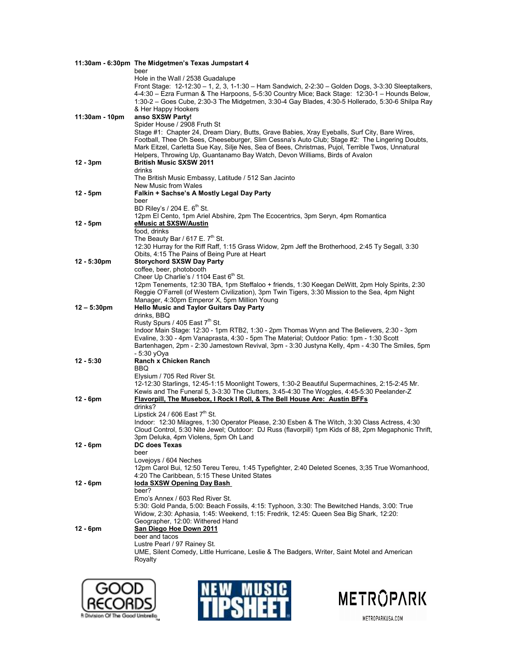|                | 11:30am - 6:30pm The Midgetmen's Texas Jumpstart 4                                                                                                                                                                                                                                                                                           |
|----------------|----------------------------------------------------------------------------------------------------------------------------------------------------------------------------------------------------------------------------------------------------------------------------------------------------------------------------------------------|
|                | beer                                                                                                                                                                                                                                                                                                                                         |
|                | Hole in the Wall / 2538 Guadalupe<br>Front Stage: 12-12:30 - 1, 2, 3, 1-1:30 - Ham Sandwich, 2-2:30 - Golden Dogs, 3-3:30 Sleeptalkers,<br>4-4:30 - Ezra Furman & The Harpoons, 5-5:30 Country Mice; Back Stage: 12:30-1 - Hounds Below,<br>1:30-2 – Goes Cube, 2:30-3 The Midgetmen, 3:30-4 Gay Blades, 4:30-5 Hollerado, 5:30-6 Shilpa Ray |
| 11:30am - 10pm | & Her Happy Hookers<br>anso SXSW Party!                                                                                                                                                                                                                                                                                                      |
|                | Spider House / 2908 Fruth St<br>Stage #1: Chapter 24, Dream Diary, Butts, Grave Babies, Xray Eyeballs, Surf City, Bare Wires,<br>Football, Thee Oh Sees, Cheeseburger, Slim Cessna's Auto Club; Stage #2: The Lingering Doubts,<br>Mark Eitzel, Carletta Sue Kay, Silje Nes, Sea of Bees, Christmas, Pujol, Terrible Twos, Unnatural         |
| $12 - 3pm$     | Helpers, Throwing Up, Guantanamo Bay Watch, Devon Williams, Birds of Avalon<br><b>British Music SXSW 2011</b>                                                                                                                                                                                                                                |
|                | drinks<br>The British Music Embassy, Latitude / 512 San Jacinto<br>New Music from Wales                                                                                                                                                                                                                                                      |
| 12 - 5pm       | Falkin + Sachse's A Mostly Legal Day Party                                                                                                                                                                                                                                                                                                   |
|                | beer<br>BD Riley's / 204 E. $6th$ St.                                                                                                                                                                                                                                                                                                        |
|                | 12pm El Cento, 1pm Ariel Abshire, 2pm The Ecocentrics, 3pm Seryn, 4pm Romantica                                                                                                                                                                                                                                                              |
| 12 - 5pm       | eMusic at SXSW/Austin                                                                                                                                                                                                                                                                                                                        |
|                | food, drinks                                                                                                                                                                                                                                                                                                                                 |
|                | The Beauty Bar / 617 E. $7th$ St.<br>12:30 Hurray for the Riff Raff, 1:15 Grass Widow, 2pm Jeff the Brotherhood, 2:45 Ty Segall, 3:30                                                                                                                                                                                                        |
|                | Obits, 4:15 The Pains of Being Pure at Heart                                                                                                                                                                                                                                                                                                 |
| 12 - 5:30pm    | <b>Storychord SXSW Day Party</b>                                                                                                                                                                                                                                                                                                             |
|                | coffee, beer, photobooth                                                                                                                                                                                                                                                                                                                     |
|                | Cheer Up Charlie's / 1104 East 6th St.<br>12pm Tenements, 12:30 TBA, 1pm Steffaloo + friends, 1:30 Keegan DeWitt, 2pm Holy Spirits, 2:30                                                                                                                                                                                                     |
|                | Reggie O'Farrell (of Western Civilization), 3pm Twin Tigers, 3:30 Mission to the Sea, 4pm Night                                                                                                                                                                                                                                              |
|                | Manager, 4:30pm Emperor X, 5pm Million Young                                                                                                                                                                                                                                                                                                 |
| $12 - 5:30pm$  | <b>Hello Music and Taylor Guitars Day Party</b><br>drinks, BBQ                                                                                                                                                                                                                                                                               |
|                | Rusty Spurs / 405 East 7 <sup>th</sup> St.                                                                                                                                                                                                                                                                                                   |
|                | Indoor Main Stage: 12:30 - 1pm RTB2, 1:30 - 2pm Thomas Wynn and The Believers, 2:30 - 3pm                                                                                                                                                                                                                                                    |
|                | Evaline, 3:30 - 4pm Vanaprasta, 4:30 - 5pm The Material; Outdoor Patio: 1pm - 1:30 Scott<br>Bartenhagen, 2pm - 2:30 Jamestown Revival, 3pm - 3:30 Justyna Kelly, 4pm - 4:30 The Smiles, 5pm                                                                                                                                                  |
|                | - 5:30 yOya                                                                                                                                                                                                                                                                                                                                  |
| 12 - 5:30      | Ranch x Chicken Ranch                                                                                                                                                                                                                                                                                                                        |
|                | BBQ.                                                                                                                                                                                                                                                                                                                                         |
|                | Elysium / 705 Red River St.<br>12-12:30 Starlings, 12:45-1:15 Moonlight Towers, 1:30-2 Beautiful Supermachines, 2:15-2:45 Mr.                                                                                                                                                                                                                |
|                | Kewis and The Funeral 5, 3-3:30 The Clutters, 3:45-4:30 The Woggles, 4:45-5:30 Peelander-Z                                                                                                                                                                                                                                                   |
| $12 - 6pm$     | Flavorpill, The Musebox, I Rock I Roll, & The Bell House Are: Austin BFFs                                                                                                                                                                                                                                                                    |
|                | drinks?<br>Lipstick 24 / 606 East 7 <sup>th</sup> St.                                                                                                                                                                                                                                                                                        |
|                | Indoor: 12:30 Milagres, 1:30 Operator Please, 2:30 Esben & The Witch, 3:30 Class Actress, 4:30                                                                                                                                                                                                                                               |
|                | Cloud Control, 5:30 Nite Jewel; Outdoor: DJ Russ (flavorpill) 1pm Kids of 88, 2pm Megaphonic Thrift,                                                                                                                                                                                                                                         |
| 12 - 6pm       | 3pm Deluka, 4pm Violens, 5pm Oh Land<br><b>DC does Texas</b>                                                                                                                                                                                                                                                                                 |
|                | beer                                                                                                                                                                                                                                                                                                                                         |
|                | Lovejoys / 604 Neches                                                                                                                                                                                                                                                                                                                        |
|                | 12pm Carol Bui, 12:50 Tereu Tereu, 1:45 Typefighter, 2:40 Deleted Scenes, 3;35 True Womanhood,<br>4:20 The Caribbean, 5:15 These United States                                                                                                                                                                                               |
| 12 - 6pm       | loda SXSW Opening Day Bash                                                                                                                                                                                                                                                                                                                   |
|                | beer?                                                                                                                                                                                                                                                                                                                                        |
|                | Emo's Annex / 603 Red River St.                                                                                                                                                                                                                                                                                                              |
|                | 5:30: Gold Panda, 5:00: Beach Fossils, 4:15: Typhoon, 3:30: The Bewitched Hands, 3:00: True<br>Widow, 2:30: Aphasia, 1:45: Weekend, 1:15: Fredrik, 12:45: Queen Sea Big Shark, 12:20:                                                                                                                                                        |
|                | Geographer, 12:00: Withered Hand                                                                                                                                                                                                                                                                                                             |
| 12 - 6pm       | San Diego Hoe Down 2011                                                                                                                                                                                                                                                                                                                      |
|                | beer and tacos                                                                                                                                                                                                                                                                                                                               |
|                | Lustre Pearl / 97 Rainey St.<br>UME, Silent Comedy, Little Hurricane, Leslie & The Badgers, Writer, Saint Motel and American                                                                                                                                                                                                                 |
|                | Royalty                                                                                                                                                                                                                                                                                                                                      |
|                |                                                                                                                                                                                                                                                                                                                                              |





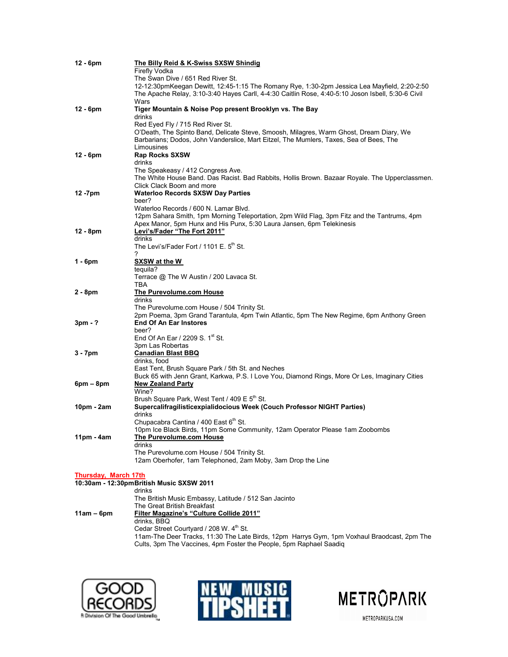| 12 - 6pm             | The Billy Reid & K-Swiss SXSW Shindig                                                                                                  |
|----------------------|----------------------------------------------------------------------------------------------------------------------------------------|
|                      | Firefly Vodka                                                                                                                          |
|                      | The Swan Dive / 651 Red River St.                                                                                                      |
|                      | 12-12:30pmKeegan Dewitt, 12:45-1:15 The Romany Rye, 1:30-2pm Jessica Lea Mayfield, 2:20-2:50                                           |
|                      | The Apache Relay, 3:10-3:40 Hayes Carll, 4-4:30 Caitlin Rose, 4:40-5:10 Joson Isbell, 5:30-6 Civil                                     |
|                      | Wars                                                                                                                                   |
| 12 - 6pm             | Tiger Mountain & Noise Pop present Brooklyn vs. The Bay                                                                                |
|                      | drinks                                                                                                                                 |
|                      | Red Eyed Fly / 715 Red River St.                                                                                                       |
|                      | O'Death, The Spinto Band, Delicate Steve, Smoosh, Milagres, Warm Ghost, Dream Diary, We                                                |
|                      | Barbarians; Dodos, John Vanderslice, Mart Eitzel, The Mumlers, Taxes, Sea of Bees, The                                                 |
|                      | Limousines                                                                                                                             |
| 12 - 6pm             | <b>Rap Rocks SXSW</b>                                                                                                                  |
|                      | drinks                                                                                                                                 |
|                      | The Speakeasy / 412 Congress Ave.                                                                                                      |
|                      | The White House Band. Das Racist. Bad Rabbits, Hollis Brown. Bazaar Royale. The Upperclassmen.                                         |
|                      | Click Clack Boom and more                                                                                                              |
| 12 -7pm              | <b>Waterloo Records SXSW Day Parties</b>                                                                                               |
|                      | beer?                                                                                                                                  |
|                      | Waterloo Records / 600 N. Lamar Blvd.                                                                                                  |
|                      | 12pm Sahara Smith, 1pm Morning Teleportation, 2pm Wild Flag, 3pm Fitz and the Tantrums, 4pm                                            |
|                      | Apex Manor, 5pm Hunx and His Punx, 5:30 Laura Jansen, 6pm Telekinesis                                                                  |
| 12 - 8pm             | Levi's/Fader "The Fort 2011"                                                                                                           |
|                      | drinks                                                                                                                                 |
|                      | The Levi's/Fader Fort / 1101 E. 5 <sup>th</sup> St.                                                                                    |
|                      | 2                                                                                                                                      |
| 1 - 6pm              | <b>SXSW at the W</b>                                                                                                                   |
|                      | tequila?                                                                                                                               |
|                      | Terrace @ The W Austin / 200 Lavaca St.                                                                                                |
|                      | TBA                                                                                                                                    |
| 2 - 8pm              | The Purevolume.com House                                                                                                               |
|                      | drinks                                                                                                                                 |
|                      | The Purevolume.com House / 504 Trinity St.<br>2pm Poema, 3pm Grand Tarantula, 4pm Twin Atlantic, 5pm The New Regime, 6pm Anthony Green |
| 3pm - ?              | <b>End Of An Ear Instores</b>                                                                                                          |
|                      | beer?                                                                                                                                  |
|                      | End Of An Ear / 2209 S. 1 <sup>st</sup> St.                                                                                            |
|                      | 3pm Las Robertas                                                                                                                       |
| 3 - 7pm              | <b>Canadian Blast BBQ</b>                                                                                                              |
|                      | drinks, food                                                                                                                           |
|                      | East Tent, Brush Square Park / 5th St. and Neches                                                                                      |
|                      | Buck 65 with Jenn Grant, Karkwa, P.S. I Love You, Diamond Rings, More Or Les, Imaginary Cities                                         |
| 6pm – 8pm            | <b>New Zealand Party</b>                                                                                                               |
|                      | Wine?                                                                                                                                  |
|                      | Brush Square Park, West Tent / 409 E 5 <sup>th</sup> St.                                                                               |
| 10pm - 2am           | Supercalifragilisticexpialidocious Week (Couch Professor NIGHT Parties)                                                                |
|                      | drinks                                                                                                                                 |
|                      | Chupacabra Cantina / 400 East 6 <sup>th</sup> St.                                                                                      |
|                      | 10pm Ice Black Birds, 11pm Some Community, 12am Operator Please 1am Zoobombs                                                           |
| 11pm - 4am           | The Purevolume.com House                                                                                                               |
|                      | drinks                                                                                                                                 |
|                      | The Purevolume.com House / 504 Trinity St.                                                                                             |
|                      | 12am Oberhofer, 1am Telephoned, 2am Moby, 3am Drop the Line                                                                            |
|                      |                                                                                                                                        |
| Thursday, March 17th |                                                                                                                                        |
|                      | 10:30am - 12:30pmBritish Music SXSW 2011                                                                                               |
|                      | drinks                                                                                                                                 |
|                      | The British Music Embassy, Latitude / 512 San Jacinto                                                                                  |
|                      | The Great British Breakfast                                                                                                            |
| 11am – 6pm           | Filter Magazine's "Culture Collide 2011"                                                                                               |
|                      | drinks, BBQ                                                                                                                            |
|                      | Cedar Street Courtyard / 208 W. 4 <sup>th</sup> St.                                                                                    |

11am-The Deer Tracks, 11:30 The Late Birds, 12pm Harrys Gym, 1pm Voxhaul Braodcast, 2pm The Cults, 3pm The Vaccines, 4pm Foster the People, 5pm Raphael Saadiq





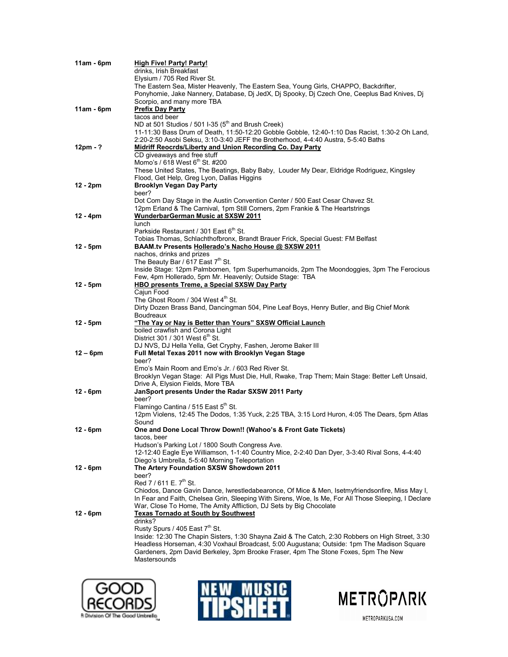| 11am - 6pm | <b>High Five! Party! Party!</b>                                                                                                                       |
|------------|-------------------------------------------------------------------------------------------------------------------------------------------------------|
|            | drinks, Irish Breakfast                                                                                                                               |
|            | Elysium / 705 Red River St.                                                                                                                           |
|            | The Eastern Sea, Mister Heavenly, The Eastern Sea, Young Girls, CHAPPO, Backdrifter,                                                                  |
|            | Ponyhomie, Jake Nannery, Database, Dj JedX, Dj Spooky, Dj Czech One, Ceeplus Bad Knives, Dj                                                           |
|            | Scorpio, and many more TBA                                                                                                                            |
| 11am - 6pm | <b>Prefix Day Party</b>                                                                                                                               |
|            | tacos and beer                                                                                                                                        |
|            | ND at 501 Studios / 501 I-35 (5 <sup>th</sup> and Brush Creek)                                                                                        |
|            | 11-11:30 Bass Drum of Death, 11:50-12:20 Gobble Gobble, 12:40-1:10 Das Racist, 1:30-2 Oh Land,                                                        |
| 12pm - ?   | 2:20-2:50 Asobi Seksu, 3:10-3:40 JEFF the Brotherhood, 4-4:40 Austra, 5-5:40 Baths                                                                    |
|            | <b>Midriff Reocrds/Liberty and Union Recording Co. Day Party</b><br>CD giveaways and free stuff                                                       |
|            | Momo's / 618 West 6 <sup>th</sup> St. #200                                                                                                            |
|            | These United States, The Beatings, Baby Baby, Louder My Dear, Eldridge Rodriguez, Kingsley                                                            |
|            | Flood, Get Help, Greg Lyon, Dallas Higgins                                                                                                            |
| 12 - 2pm   | <b>Brooklyn Vegan Day Party</b>                                                                                                                       |
|            | beer?                                                                                                                                                 |
|            | Dot Com Day Stage in the Austin Convention Center / 500 East Cesar Chavez St.                                                                         |
|            | 12pm Erland & The Carnival, 1pm Still Corners, 2pm Frankie & The Heartstrings                                                                         |
| 12 - 4pm   | WunderbarGerman Music at SXSW 2011                                                                                                                    |
|            | <b>lunch</b>                                                                                                                                          |
|            | Parkside Restaurant / 301 East 6th St.                                                                                                                |
|            | Tobias Thomas, Schlachthofbronx, Brandt Brauer Frick, Special Guest: FM Belfast                                                                       |
| 12 - 5pm   | BAAM.tv Presents Hollerado's Nacho House @ SXSW 2011                                                                                                  |
|            | nachos, drinks and prizes                                                                                                                             |
|            | The Beauty Bar / 617 East 7th St.<br>Inside Stage: 12pm Palmbomen, 1pm Superhumanoids, 2pm The Moondoggies, 3pm The Ferocious                         |
|            | Few, 4pm Hollerado, 5pm Mr. Heavenly; Outside Stage: TBA                                                                                              |
| 12 - 5pm   | <b>HBO presents Treme, a Special SXSW Day Party</b>                                                                                                   |
|            | Caiun Food                                                                                                                                            |
|            | The Ghost Room / 304 West 4th St.                                                                                                                     |
|            | Dirty Dozen Brass Band, Dancingman 504, Pine Leaf Boys, Henry Butler, and Big Chief Monk                                                              |
|            | Boudreaux                                                                                                                                             |
| 12 - 5pm   | "The Yay or Nay is Better than Yours" SXSW Official Launch                                                                                            |
|            | boiled crawfish and Corona Light                                                                                                                      |
|            | District 301 / 301 West 6 <sup>th</sup> St.                                                                                                           |
|            | DJ NVS, DJ Hella Yella, Get Cryphy, Fashen, Jerome Baker III                                                                                          |
| 12 – 6pm   | Full Metal Texas 2011 now with Brooklyn Vegan Stage                                                                                                   |
|            | beer?                                                                                                                                                 |
|            | Emo's Main Room and Emo's Jr. / 603 Red River St.<br>Brooklyn Vegan Stage: All Pigs Must Die, Hull, Rwake, Trap Them; Main Stage: Better Left Unsaid, |
|            | Drive A, Elysion Fields, More TBA                                                                                                                     |
| 12 - 6pm   | JanSport presents Under the Radar SXSW 2011 Party                                                                                                     |
|            | beer?                                                                                                                                                 |
|            | Flamingo Cantina / 515 East 5th St.                                                                                                                   |
|            | 12pm Violens, 12:45 The Dodos, 1:35 Yuck, 2:25 TBA, 3:15 Lord Huron, 4:05 The Dears, 5pm Atlas                                                        |
|            | Sound                                                                                                                                                 |
| 12 - 6pm   | One and Done Local Throw Down!! (Wahoo's & Front Gate Tickets)                                                                                        |
|            | tacos, beer                                                                                                                                           |
|            | Hudson's Parking Lot / 1800 South Congress Ave.                                                                                                       |
|            | 12-12:40 Eagle Eye Williamson, 1-1:40 Country Mice, 2-2:40 Dan Dyer, 3-3:40 Rival Sons, 4-4:40                                                        |
|            | Diego's Umbrella, 5-5:40 Morning Teleportation                                                                                                        |
| 12 - 6pm   | The Artery Foundation SXSW Showdown 2011                                                                                                              |
|            | beer?                                                                                                                                                 |
|            | Red $7/611$ E. $7th$ St.<br>Chiodos, Dance Gavin Dance, Iwrestledabearonce, Of Mice & Men, Isetmyfriendsonfire, Miss May I,                           |
|            | In Fear and Faith, Chelsea Grin, Sleeping With Sirens, Woe, Is Me, For All Those Sleeping, I Declare                                                  |
|            | War, Close To Home, The Amity Affliction, DJ Sets by Big Chocolate                                                                                    |
| 12 - 6pm   | <b>Texas Tornado at South by Southwest</b>                                                                                                            |
|            | drinks?                                                                                                                                               |
|            | Rusty Spurs / 405 East 7 <sup>th</sup> St.                                                                                                            |
|            | Inside: 12:30 The Chapin Sisters, 1:30 Shayna Zaid & The Catch, 2:30 Robbers on High Street, 3:30                                                     |
|            | Headless Horseman, 4:30 Voxhaul Broadcast, 5:00 Augustana; Outside: 1pm The Madison Square                                                            |
|            | Gardeners, 2pm David Berkeley, 3pm Brooke Fraser, 4pm The Stone Foxes, 5pm The New                                                                    |
|            | Mastersounds                                                                                                                                          |
|            |                                                                                                                                                       |





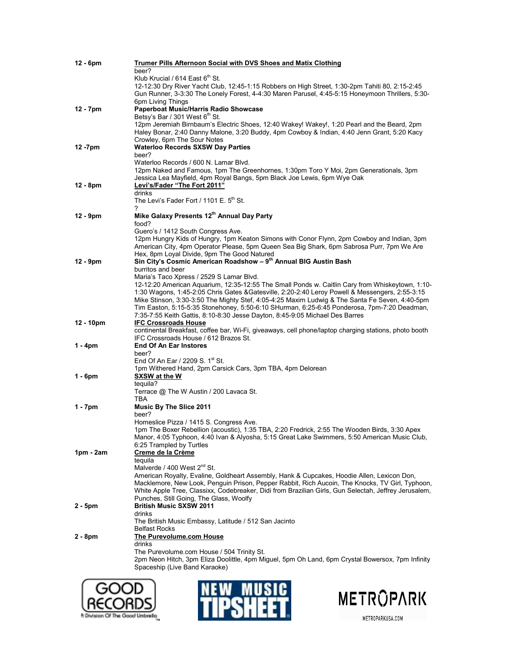| 12 - 6pm  | Trumer Pills Afternoon Social with DVS Shoes and Matix Clothing                                                                                                                                     |
|-----------|-----------------------------------------------------------------------------------------------------------------------------------------------------------------------------------------------------|
|           | beer?                                                                                                                                                                                               |
|           | Klub Krucial / 614 East 6th St.                                                                                                                                                                     |
|           | 12-12:30 Dry River Yacht Club, 12:45-1:15 Robbers on High Street, 1:30-2pm Tahiti 80, 2:15-2:45<br>Gun Runner, 3-3:30 The Lonely Forest, 4-4:30 Maren Parusel, 4:45-5:15 Honeymoon Thrillers, 5:30- |
|           | 6pm Living Things                                                                                                                                                                                   |
| 12 - 7pm  | Paperboat Music/Harris Radio Showcase                                                                                                                                                               |
|           | Betsy's Bar / 301 West 6 <sup>th</sup> St.                                                                                                                                                          |
|           | 12pm Jeremiah Birnbaum's Electric Shoes, 12:40 Wakey! Wakey!, 1:20 Pearl and the Beard, 2pm                                                                                                         |
|           | Haley Bonar, 2:40 Danny Malone, 3:20 Buddy, 4pm Cowboy & Indian, 4:40 Jenn Grant, 5:20 Kacy                                                                                                         |
|           | Crowley, 6pm The Sour Notes                                                                                                                                                                         |
| 12 -7pm   | <b>Waterloo Records SXSW Day Parties</b><br>beer?                                                                                                                                                   |
|           | Waterloo Records / 600 N. Lamar Blvd.                                                                                                                                                               |
|           | 12pm Naked and Famous, 1pm The Greenhornes, 1:30pm Toro Y Moi, 2pm Generationals, 3pm                                                                                                               |
|           | Jessica Lea Mayfield, 4pm Royal Bangs, 5pm Black Joe Lewis, 6pm Wye Oak                                                                                                                             |
| 12 - 8pm  | Levi's/Fader "The Fort 2011"                                                                                                                                                                        |
|           | drinks                                                                                                                                                                                              |
|           | The Levi's Fader Fort / 1101 E. $5th$ St.                                                                                                                                                           |
|           | 7<br>Mike Galaxy Presents 12th Annual Day Party                                                                                                                                                     |
| 12 - 9pm  | food?                                                                                                                                                                                               |
|           | Guero's / 1412 South Congress Ave.                                                                                                                                                                  |
|           | 12pm Hungry Kids of Hungry, 1pm Keaton Simons with Conor Flynn, 2pm Cowboy and Indian, 3pm                                                                                                          |
|           | American City, 4pm Operator Please, 5pm Queen Sea Big Shark, 6pm Sabrosa Purr, 7pm We Are                                                                                                           |
|           | Hex, 8pm Loyal Divide, 9pm The Good Natured                                                                                                                                                         |
| 12 - 9pm  | Sin City's Cosmic American Roadshow - 9 <sup>th</sup> Annual BIG Austin Bash                                                                                                                        |
|           | burritos and beer<br>Maria's Taco Xpress / 2529 S Lamar Blvd.                                                                                                                                       |
|           | 12-12:20 American Aquarium, 12:35-12:55 The Small Ponds w. Caitlin Cary from Whiskeytown, 1:10-                                                                                                     |
|           | 1:30 Wagons, 1:45-2:05 Chris Gates & Gatesville, 2:20-2:40 Leroy Powell & Messengers, 2:55-3:15                                                                                                     |
|           | Mike Stinson, 3:30-3:50 The Mighty Stef, 4:05-4:25 Maxim Ludwig & The Santa Fe Seven, 4:40-5pm                                                                                                      |
|           | Tim Easton, 5:15-5:35 Stonehoney, 5:50-6:10 SHurman, 6:25-6:45 Ponderosa, 7pm-7:20 Deadman,                                                                                                         |
|           | 7:35-7:55 Keith Gattis, 8:10-8:30 Jesse Dayton, 8:45-9:05 Michael Des Barres                                                                                                                        |
| 12 - 10pm | <b>IFC Crossroads House</b>                                                                                                                                                                         |
|           | continental Breakfast, coffee bar, Wi-Fi, giveaways, cell phone/laptop charging stations, photo booth<br>IFC Crossroads House / 612 Brazos St.                                                      |
| 1 - 4pm   | <b>End Of An Ear Instores</b>                                                                                                                                                                       |
|           | beer?                                                                                                                                                                                               |
|           | End Of An Ear / 2209 S. 1 <sup>st</sup> St.                                                                                                                                                         |
|           | 1pm Withered Hand, 2pm Carsick Cars, 3pm TBA, 4pm Delorean                                                                                                                                          |
| 1 - 6pm   | SXSW at the W                                                                                                                                                                                       |
|           | teguila?                                                                                                                                                                                            |
|           | Terrace @ The W Austin / 200 Lavaca St.<br>TBA                                                                                                                                                      |
| 1 - 7pm   | <b>Music By The Slice 2011</b>                                                                                                                                                                      |
|           | beer?                                                                                                                                                                                               |
|           | Homeslice Pizza / 1415 S. Congress Ave.                                                                                                                                                             |
|           | 1pm The Boxer Rebellion (acoustic), 1:35 TBA, 2:20 Fredrick, 2:55 The Wooden Birds, 3:30 Apex                                                                                                       |
|           | Manor, 4:05 Typhoon, 4:40 Ivan & Alyosha, 5:15 Great Lake Swimmers, 5:50 American Music Club,                                                                                                       |
| 1pm - 2am | 6:25 Trampled by Turtles<br>Creme de la Crème                                                                                                                                                       |
|           | tequila                                                                                                                                                                                             |
|           | Malverde / 400 West 2 <sup>nd</sup> St.                                                                                                                                                             |
|           | American Royalty, Evaline, Goldheart Assembly, Hank & Cupcakes, Hoodie Allen, Lexicon Don,                                                                                                          |
|           | Macklemore, New Look, Penguin Prison, Pepper Rabbit, Rich Aucoin, The Knocks, TV Girl, Typhoon,                                                                                                     |
|           | White Apple Tree, Classixx, Codebreaker, Didi from Brazilian Girls, Gun Selectah, Jeffrey Jerusalem,                                                                                                |
|           | Punches, Still Going, The Glass, Woolfy                                                                                                                                                             |
| 2 - 5pm   | <b>British Music SXSW 2011</b><br>drinks                                                                                                                                                            |
|           | The British Music Embassy, Latitude / 512 San Jacinto                                                                                                                                               |
|           | <b>Belfast Rocks</b>                                                                                                                                                                                |
| 2 - 8pm   | The Purevolume.com House                                                                                                                                                                            |
|           | drinks                                                                                                                                                                                              |
|           | The Purevolume.com House / 504 Trinity St.                                                                                                                                                          |
|           | 2pm Neon Hitch, 3pm Eliza Doolittle, 4pm Miguel, 5pm Oh Land, 6pm Crystal Bowersox, 7pm Infinity                                                                                                    |
|           | Spaceship (Live Band Karaoke)                                                                                                                                                                       |
|           |                                                                                                                                                                                                     |





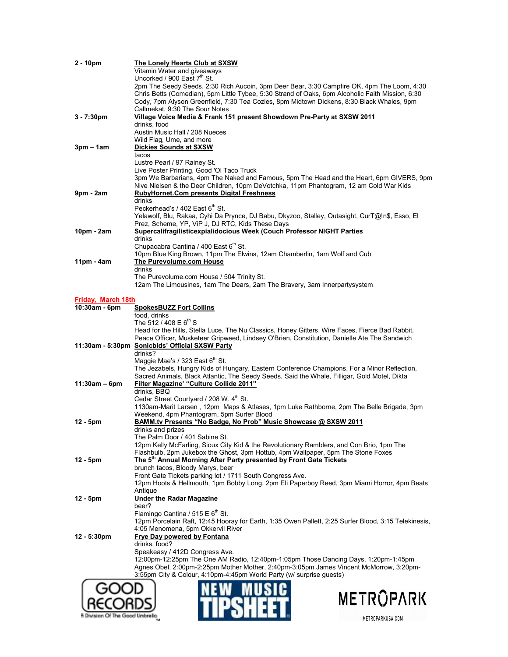| $2 - 10pm$         | The Lonely Hearts Club at SXSW                                                                                                                                                                |
|--------------------|-----------------------------------------------------------------------------------------------------------------------------------------------------------------------------------------------|
|                    | Vitamin Water and giveaways                                                                                                                                                                   |
|                    | Uncorked / 900 East 7th St.                                                                                                                                                                   |
|                    | 2pm The Seedy Seeds, 2:30 Rich Aucoin, 3pm Deer Bear, 3:30 Campfire OK, 4pm The Loom, 4:30                                                                                                    |
|                    | Chris Betts (Comedian), 5pm Little Tybee, 5:30 Strand of Oaks, 6pm Alcoholic Faith Mission, 6:30<br>Cody, 7pm Alyson Greenfield, 7:30 Tea Cozies, 8pm Midtown Dickens, 8:30 Black Whales, 9pm |
|                    | Callmekat, 9:30 The Sour Notes                                                                                                                                                                |
| $3 - 7:30pm$       | Village Voice Media & Frank 151 present Showdown Pre-Party at SXSW 2011                                                                                                                       |
|                    | drinks, food                                                                                                                                                                                  |
|                    | Austin Music Hall / 208 Nueces                                                                                                                                                                |
|                    | Wild Flag, Ume, and more                                                                                                                                                                      |
| $3pm - 1am$        | Dickies Sounds at SXSW                                                                                                                                                                        |
|                    | tacos                                                                                                                                                                                         |
|                    | Lustre Pearl / 97 Rainey St.                                                                                                                                                                  |
|                    | Live Poster Printing, Good 'OI Taco Truck                                                                                                                                                     |
|                    | 3pm We Barbarians, 4pm The Naked and Famous, 5pm The Head and the Heart, 6pm GIVERS, 9pm                                                                                                      |
|                    | Nive Nielsen & the Deer Children, 10pm DeVotchka, 11pm Phantogram, 12 am Cold War Kids                                                                                                        |
| 9pm - 2am          | <b>RubyHornet.Com presents Digital Freshness</b>                                                                                                                                              |
|                    | drinks                                                                                                                                                                                        |
|                    | Peckerhead's / 402 East 6 <sup>th</sup> St.                                                                                                                                                   |
|                    | Yelawolf, Blu, Rakaa, Cyhi Da Prynce, DJ Babu, Dkyzoo, Stalley, Outasight, CurT@!n\$, Esso, El                                                                                                |
|                    | Prez, Scheme, YP, ViP J, DJ RTC, Kids These Days                                                                                                                                              |
| 10pm - 2am         | Supercalifragilisticexpialidocious Week (Couch Professor NIGHT Parties                                                                                                                        |
|                    | drinks                                                                                                                                                                                        |
|                    | Chupacabra Cantina / 400 East 6th St.                                                                                                                                                         |
| $11pm - 4am$       | 10pm Blue King Brown, 11pm The Elwins, 12am Chamberlin, 1am Wolf and Cub<br>The Purevolume.com House                                                                                          |
|                    | drinks                                                                                                                                                                                        |
|                    | The Purevolume.com House / 504 Trinity St.                                                                                                                                                    |
|                    | 12am The Limousines, 1am The Dears, 2am The Bravery, 3am Innerpartysystem                                                                                                                     |
|                    |                                                                                                                                                                                               |
| Friday, March 18th |                                                                                                                                                                                               |
| 10:30am - 6pm      | <b>SpokesBUZZ Fort Collins</b>                                                                                                                                                                |
|                    | food, drinks                                                                                                                                                                                  |
|                    | The 512 / 408 E $6^{th}$ S                                                                                                                                                                    |
|                    | Head for the Hills, Stella Luce, The Nu Classics, Honey Gitters, Wire Faces, Fierce Bad Rabbit,                                                                                               |
|                    | Peace Officer, Musketeer Gripweed, Lindsey O'Brien, Constitution, Danielle Ate The Sandwich                                                                                                   |
|                    | 11:30am - 5:30pm Sonicbids' Official SXSW Party                                                                                                                                               |
|                    | drinks?                                                                                                                                                                                       |
|                    | Maggie Mae's / 323 East 6 <sup>th</sup> St.                                                                                                                                                   |
|                    | The Jezabels, Hungry Kids of Hungary, Eastern Conference Champions, For a Minor Reflection,                                                                                                   |
| $11:30am - 6pm$    | Sacred Animals, Black Atlantic, The Seedy Seeds, Said the Whale, Filligar, Gold Motel, Dikta<br><b>Filter Magazine' "Culture Collide 2011"</b>                                                |
|                    | drinks. BBQ                                                                                                                                                                                   |
|                    | Cedar Street Courtyard / 208 W. 4 <sup>th</sup> St.                                                                                                                                           |
|                    | 1130am-Marit Larsen, 12pm Maps & Atlases, 1pm Luke Rathborne, 2pm The Belle Brigade, 3pm                                                                                                      |
|                    | Weekend, 4pm Phantogram, 5pm Surfer Blood                                                                                                                                                     |
| $12 - 5pm$         | BAMM.tv Presents "No Badge, No Prob" Music Showcase @ SXSW 2011                                                                                                                               |
|                    | drinks and prizes                                                                                                                                                                             |
|                    | The Palm Door / 401 Sabine St.                                                                                                                                                                |
|                    | 12pm Kelly McFarling, Sioux City Kid & the Revolutionary Ramblers, and Con Brio, 1pm The                                                                                                      |
|                    | Flashbulb, 2pm Jukebox the Ghost, 3pm Hottub, 4pm Wallpaper, 5pm The Stone Foxes                                                                                                              |
| $12 - 5pm$         | The 5 <sup>th</sup> Annual Morning After Party presented by Front Gate Tickets                                                                                                                |
|                    | brunch tacos, Bloody Marys, beer                                                                                                                                                              |
|                    | Front Gate Tickets parking lot / 1711 South Congress Ave.                                                                                                                                     |
|                    | 12pm Hoots & Hellmouth, 1pm Bobby Long, 2pm Eli Paperboy Reed, 3pm Miami Horror, 4pm Beats                                                                                                    |
| $12 - 5pm$         | Antique<br><b>Under the Radar Magazine</b>                                                                                                                                                    |
|                    | beer?                                                                                                                                                                                         |
|                    | Flamingo Cantina / 515 E $6th$ St.                                                                                                                                                            |
|                    | 12pm Porcelain Raft, 12:45 Hooray for Earth, 1:35 Owen Pallett, 2:25 Surfer Blood, 3:15 Telekinesis,                                                                                          |
|                    | 4:05 Menomena, 5pm Okkervil River                                                                                                                                                             |
| 12 - 5:30pm        | <b>Frye Day powered by Fontana</b>                                                                                                                                                            |
|                    | drinks, food?                                                                                                                                                                                 |
|                    | Speakeasy / 412D Congress Ave.                                                                                                                                                                |
|                    | 12:00pm-12:25pm The One AM Radio, 12:40pm-1:05pm Those Dancing Days, 1:20pm-1:45pm                                                                                                            |
|                    | Agnes Obel, 2:00pm-2:25pm Mother Mother, 2:40pm-3:05pm James Vincent McMorrow, 3:20pm-                                                                                                        |
|                    | 3:55pm City & Colour, 4:10pm-4:45pm World Party (w/ surprise guests)                                                                                                                          |
|                    |                                                                                                                                                                                               |
|                    |                                                                                                                                                                                               |
|                    | METROPARK                                                                                                                                                                                     |
|                    |                                                                                                                                                                                               |
|                    |                                                                                                                                                                                               |

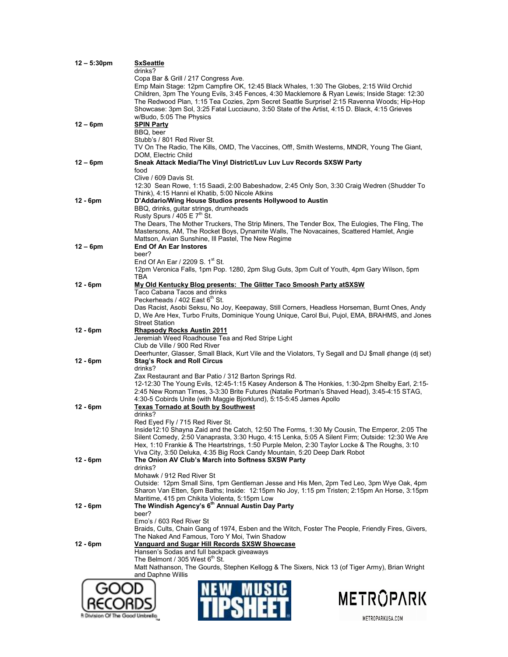| Copa Bar & Grill / 217 Congress Ave.<br>Emp Main Stage: 12pm Campfire OK, 12:45 Black Whales, 1:30 The Globes, 2:15 Wild Orchid<br>The Redwood Plan, 1:15 Tea Cozies, 2pm Secret Seattle Surprise! 2:15 Ravenna Woods; Hip-Hop<br>Showcase: 3pm Sol, 3:25 Fatal Lucciauno, 3:50 State of the Artist, 4:15 D. Black, 4:15 Grieves<br>w/Budo, 5:05 The Physics<br><b>SPIN Party</b><br>BBQ, beer<br>Stubb's / 801 Red River St.<br>TV On The Radio, The Kills, OMD, The Vaccines, Off!, Smith Westerns, MNDR, Young The Giant,<br>DOM, Electric Child<br>$12 - 6$ pm<br>Sneak Attack Media/The Vinyl District/Luv Luv Luv Records SXSW Party<br>food<br>Clive / 609 Davis St.<br>12:30 Sean Rowe, 1:15 Saadi, 2:00 Babeshadow, 2:45 Only Son, 3:30 Craig Wedren (Shudder To<br>Think), 4:15 Hanni el Khatib, 5:00 Nicole Atkins<br>$12 - 6pm$<br>D'Addario/Wing House Studios presents Hollywood to Austin<br>BBQ, drinks, guitar strings, drumheads<br>Rusty Spurs / $405 \text{ E } 7^{\text{th}}$ St.<br>The Dears, The Mother Truckers, The Strip Miners, The Tender Box, The Eulogies, The Fling, The<br>Mastersons, AM, The Rocket Boys, Dynamite Walls, The Novacaines, Scattered Hamlet, Angie<br>Mattson, Avian Sunshine, Ill Pastel, The New Regime<br><b>End Of An Ear Instores</b><br>$12 - 6$ pm<br>beer?<br>End Of An Ear / 2209 S. 1 <sup>st</sup> St.<br>TBA<br>$12 - 6pm$<br>My Old Kentucky Blog presents: The Glitter Taco Smoosh Party at SXSW<br>Taco Cabana Tacos and drinks<br>Peckerheads / 402 East 6th St.<br>Das Racist, Asobi Seksu, No Joy, Keepaway, Still Corners, Headless Horseman, Burnt Ones, Andy<br>D, We Are Hex, Turbo Fruits, Dominique Young Unique, Carol Bui, Pujol, EMA, BRAHMS, and Jones<br><b>Street Station</b><br>$12 - 6pm$<br><b>Rhapsody Rocks Austin 2011</b><br>Jeremiah Weed Roadhouse Tea and Red Stripe Light<br>Club de Ville / 900 Red River<br>$12 - 6pm$<br><b>Stag's Rock and Roll Circus</b><br>drinks?<br>Zax Restaurant and Bar Patio / 312 Barton Springs Rd.<br>12-12:30 The Young Evils, 12:45-1:15 Kasey Anderson & The Honkies, 1:30-2pm Shelby Earl, 2:15-<br>2:45 New Roman Times, 3-3:30 Brite Futures (Natalie Portman's Shaved Head), 3:45-4:15 STAG,<br>4:30-5 Cobirds Unite (with Maggie Bjorklund), 5:15-5:45 James Apollo<br><b>Texas Tornado at South by Southwest</b><br>$12 - 6pm$<br>drinks?<br>Red Eyed Fly / 715 Red River St.<br>Inside12:10 Shayna Zaid and the Catch, 12:50 The Forms, 1:30 My Cousin, The Emperor, 2:05 The<br>Hex, 1:10 Frankie & The Heartstrings, 1:50 Purple Melon, 2:30 Taylor Locke & The Roughs, 3:10<br>Viva City, 3:50 Deluka, 4:35 Big Rock Candy Mountain, 5:20 Deep Dark Robot<br>The Onion AV Club's March into Softness SXSW Party<br>drinks?<br>Mohawk / 912 Red River St<br>Outside: 12pm Small Sins, 1pm Gentleman Jesse and His Men, 2pm Ted Leo, 3pm Wye Oak, 4pm<br>Maritime, 415 pm Chikita Violenta, 5:15pm Low<br>The Windish Agency's 6 <sup>th</sup> Annual Austin Day Party<br>$12 - 6pm$<br>beer?<br>Emo's / 603 Red River St<br>Braids, Cults, Chain Gang of 1974, Esben and the Witch, Foster The People, Friendly Fires, Givers,<br>The Naked And Famous, Toro Y Moi, Twin Shadow<br>$12 - 6pm$<br>Vanguard and Sugar Hill Records SXSW Showcase<br>Hansen's Sodas and full backpack giveaways<br>The Belmont / 305 West 6 <sup>th</sup> St.<br>Matt Nathanson, The Gourds, Stephen Kellogg & The Sixers, Nick 13 (of Tiger Army), Brian Wright<br>and Daphne Willis<br>METROPARK | $12 - 5:30pm$ | <b>SxSeattle</b><br>drinks?                                                                            |
|------------------------------------------------------------------------------------------------------------------------------------------------------------------------------------------------------------------------------------------------------------------------------------------------------------------------------------------------------------------------------------------------------------------------------------------------------------------------------------------------------------------------------------------------------------------------------------------------------------------------------------------------------------------------------------------------------------------------------------------------------------------------------------------------------------------------------------------------------------------------------------------------------------------------------------------------------------------------------------------------------------------------------------------------------------------------------------------------------------------------------------------------------------------------------------------------------------------------------------------------------------------------------------------------------------------------------------------------------------------------------------------------------------------------------------------------------------------------------------------------------------------------------------------------------------------------------------------------------------------------------------------------------------------------------------------------------------------------------------------------------------------------------------------------------------------------------------------------------------------------------------------------------------------------------------------------------------------------------------------------------------------------------------------------------------------------------------------------------------------------------------------------------------------------------------------------------------------------------------------------------------------------------------------------------------------------------------------------------------------------------------------------------------------------------------------------------------------------------------------------------------------------------------------------------------------------------------------------------------------------------------------------------------------------------------------------------------------------------------------------------------------------------------------------------------------------------------------------------------------------------------------------------------------------------------------------------------------------------------------------------------------------------------------------------------------------------------------------------------------------------------------------------------------------------------------------------------------------------------------------------------------------------------------------------------------------------------------------------------------------------------------------------------------------------------------------------------------------------------------------------------------------|---------------|--------------------------------------------------------------------------------------------------------|
|                                                                                                                                                                                                                                                                                                                                                                                                                                                                                                                                                                                                                                                                                                                                                                                                                                                                                                                                                                                                                                                                                                                                                                                                                                                                                                                                                                                                                                                                                                                                                                                                                                                                                                                                                                                                                                                                                                                                                                                                                                                                                                                                                                                                                                                                                                                                                                                                                                                                                                                                                                                                                                                                                                                                                                                                                                                                                                                                                                                                                                                                                                                                                                                                                                                                                                                                                                                                                                                                                                                        |               |                                                                                                        |
|                                                                                                                                                                                                                                                                                                                                                                                                                                                                                                                                                                                                                                                                                                                                                                                                                                                                                                                                                                                                                                                                                                                                                                                                                                                                                                                                                                                                                                                                                                                                                                                                                                                                                                                                                                                                                                                                                                                                                                                                                                                                                                                                                                                                                                                                                                                                                                                                                                                                                                                                                                                                                                                                                                                                                                                                                                                                                                                                                                                                                                                                                                                                                                                                                                                                                                                                                                                                                                                                                                                        |               | Children, 3pm The Young Evils, 3:45 Fences, 4:30 Macklemore & Ryan Lewis; Inside Stage: 12:30          |
|                                                                                                                                                                                                                                                                                                                                                                                                                                                                                                                                                                                                                                                                                                                                                                                                                                                                                                                                                                                                                                                                                                                                                                                                                                                                                                                                                                                                                                                                                                                                                                                                                                                                                                                                                                                                                                                                                                                                                                                                                                                                                                                                                                                                                                                                                                                                                                                                                                                                                                                                                                                                                                                                                                                                                                                                                                                                                                                                                                                                                                                                                                                                                                                                                                                                                                                                                                                                                                                                                                                        |               |                                                                                                        |
|                                                                                                                                                                                                                                                                                                                                                                                                                                                                                                                                                                                                                                                                                                                                                                                                                                                                                                                                                                                                                                                                                                                                                                                                                                                                                                                                                                                                                                                                                                                                                                                                                                                                                                                                                                                                                                                                                                                                                                                                                                                                                                                                                                                                                                                                                                                                                                                                                                                                                                                                                                                                                                                                                                                                                                                                                                                                                                                                                                                                                                                                                                                                                                                                                                                                                                                                                                                                                                                                                                                        |               |                                                                                                        |
|                                                                                                                                                                                                                                                                                                                                                                                                                                                                                                                                                                                                                                                                                                                                                                                                                                                                                                                                                                                                                                                                                                                                                                                                                                                                                                                                                                                                                                                                                                                                                                                                                                                                                                                                                                                                                                                                                                                                                                                                                                                                                                                                                                                                                                                                                                                                                                                                                                                                                                                                                                                                                                                                                                                                                                                                                                                                                                                                                                                                                                                                                                                                                                                                                                                                                                                                                                                                                                                                                                                        | $12 - 6$ pm   |                                                                                                        |
|                                                                                                                                                                                                                                                                                                                                                                                                                                                                                                                                                                                                                                                                                                                                                                                                                                                                                                                                                                                                                                                                                                                                                                                                                                                                                                                                                                                                                                                                                                                                                                                                                                                                                                                                                                                                                                                                                                                                                                                                                                                                                                                                                                                                                                                                                                                                                                                                                                                                                                                                                                                                                                                                                                                                                                                                                                                                                                                                                                                                                                                                                                                                                                                                                                                                                                                                                                                                                                                                                                                        |               |                                                                                                        |
|                                                                                                                                                                                                                                                                                                                                                                                                                                                                                                                                                                                                                                                                                                                                                                                                                                                                                                                                                                                                                                                                                                                                                                                                                                                                                                                                                                                                                                                                                                                                                                                                                                                                                                                                                                                                                                                                                                                                                                                                                                                                                                                                                                                                                                                                                                                                                                                                                                                                                                                                                                                                                                                                                                                                                                                                                                                                                                                                                                                                                                                                                                                                                                                                                                                                                                                                                                                                                                                                                                                        |               |                                                                                                        |
|                                                                                                                                                                                                                                                                                                                                                                                                                                                                                                                                                                                                                                                                                                                                                                                                                                                                                                                                                                                                                                                                                                                                                                                                                                                                                                                                                                                                                                                                                                                                                                                                                                                                                                                                                                                                                                                                                                                                                                                                                                                                                                                                                                                                                                                                                                                                                                                                                                                                                                                                                                                                                                                                                                                                                                                                                                                                                                                                                                                                                                                                                                                                                                                                                                                                                                                                                                                                                                                                                                                        |               |                                                                                                        |
|                                                                                                                                                                                                                                                                                                                                                                                                                                                                                                                                                                                                                                                                                                                                                                                                                                                                                                                                                                                                                                                                                                                                                                                                                                                                                                                                                                                                                                                                                                                                                                                                                                                                                                                                                                                                                                                                                                                                                                                                                                                                                                                                                                                                                                                                                                                                                                                                                                                                                                                                                                                                                                                                                                                                                                                                                                                                                                                                                                                                                                                                                                                                                                                                                                                                                                                                                                                                                                                                                                                        |               |                                                                                                        |
|                                                                                                                                                                                                                                                                                                                                                                                                                                                                                                                                                                                                                                                                                                                                                                                                                                                                                                                                                                                                                                                                                                                                                                                                                                                                                                                                                                                                                                                                                                                                                                                                                                                                                                                                                                                                                                                                                                                                                                                                                                                                                                                                                                                                                                                                                                                                                                                                                                                                                                                                                                                                                                                                                                                                                                                                                                                                                                                                                                                                                                                                                                                                                                                                                                                                                                                                                                                                                                                                                                                        |               |                                                                                                        |
|                                                                                                                                                                                                                                                                                                                                                                                                                                                                                                                                                                                                                                                                                                                                                                                                                                                                                                                                                                                                                                                                                                                                                                                                                                                                                                                                                                                                                                                                                                                                                                                                                                                                                                                                                                                                                                                                                                                                                                                                                                                                                                                                                                                                                                                                                                                                                                                                                                                                                                                                                                                                                                                                                                                                                                                                                                                                                                                                                                                                                                                                                                                                                                                                                                                                                                                                                                                                                                                                                                                        |               |                                                                                                        |
|                                                                                                                                                                                                                                                                                                                                                                                                                                                                                                                                                                                                                                                                                                                                                                                                                                                                                                                                                                                                                                                                                                                                                                                                                                                                                                                                                                                                                                                                                                                                                                                                                                                                                                                                                                                                                                                                                                                                                                                                                                                                                                                                                                                                                                                                                                                                                                                                                                                                                                                                                                                                                                                                                                                                                                                                                                                                                                                                                                                                                                                                                                                                                                                                                                                                                                                                                                                                                                                                                                                        |               |                                                                                                        |
|                                                                                                                                                                                                                                                                                                                                                                                                                                                                                                                                                                                                                                                                                                                                                                                                                                                                                                                                                                                                                                                                                                                                                                                                                                                                                                                                                                                                                                                                                                                                                                                                                                                                                                                                                                                                                                                                                                                                                                                                                                                                                                                                                                                                                                                                                                                                                                                                                                                                                                                                                                                                                                                                                                                                                                                                                                                                                                                                                                                                                                                                                                                                                                                                                                                                                                                                                                                                                                                                                                                        |               |                                                                                                        |
|                                                                                                                                                                                                                                                                                                                                                                                                                                                                                                                                                                                                                                                                                                                                                                                                                                                                                                                                                                                                                                                                                                                                                                                                                                                                                                                                                                                                                                                                                                                                                                                                                                                                                                                                                                                                                                                                                                                                                                                                                                                                                                                                                                                                                                                                                                                                                                                                                                                                                                                                                                                                                                                                                                                                                                                                                                                                                                                                                                                                                                                                                                                                                                                                                                                                                                                                                                                                                                                                                                                        |               |                                                                                                        |
|                                                                                                                                                                                                                                                                                                                                                                                                                                                                                                                                                                                                                                                                                                                                                                                                                                                                                                                                                                                                                                                                                                                                                                                                                                                                                                                                                                                                                                                                                                                                                                                                                                                                                                                                                                                                                                                                                                                                                                                                                                                                                                                                                                                                                                                                                                                                                                                                                                                                                                                                                                                                                                                                                                                                                                                                                                                                                                                                                                                                                                                                                                                                                                                                                                                                                                                                                                                                                                                                                                                        |               |                                                                                                        |
|                                                                                                                                                                                                                                                                                                                                                                                                                                                                                                                                                                                                                                                                                                                                                                                                                                                                                                                                                                                                                                                                                                                                                                                                                                                                                                                                                                                                                                                                                                                                                                                                                                                                                                                                                                                                                                                                                                                                                                                                                                                                                                                                                                                                                                                                                                                                                                                                                                                                                                                                                                                                                                                                                                                                                                                                                                                                                                                                                                                                                                                                                                                                                                                                                                                                                                                                                                                                                                                                                                                        |               |                                                                                                        |
|                                                                                                                                                                                                                                                                                                                                                                                                                                                                                                                                                                                                                                                                                                                                                                                                                                                                                                                                                                                                                                                                                                                                                                                                                                                                                                                                                                                                                                                                                                                                                                                                                                                                                                                                                                                                                                                                                                                                                                                                                                                                                                                                                                                                                                                                                                                                                                                                                                                                                                                                                                                                                                                                                                                                                                                                                                                                                                                                                                                                                                                                                                                                                                                                                                                                                                                                                                                                                                                                                                                        |               |                                                                                                        |
|                                                                                                                                                                                                                                                                                                                                                                                                                                                                                                                                                                                                                                                                                                                                                                                                                                                                                                                                                                                                                                                                                                                                                                                                                                                                                                                                                                                                                                                                                                                                                                                                                                                                                                                                                                                                                                                                                                                                                                                                                                                                                                                                                                                                                                                                                                                                                                                                                                                                                                                                                                                                                                                                                                                                                                                                                                                                                                                                                                                                                                                                                                                                                                                                                                                                                                                                                                                                                                                                                                                        |               |                                                                                                        |
|                                                                                                                                                                                                                                                                                                                                                                                                                                                                                                                                                                                                                                                                                                                                                                                                                                                                                                                                                                                                                                                                                                                                                                                                                                                                                                                                                                                                                                                                                                                                                                                                                                                                                                                                                                                                                                                                                                                                                                                                                                                                                                                                                                                                                                                                                                                                                                                                                                                                                                                                                                                                                                                                                                                                                                                                                                                                                                                                                                                                                                                                                                                                                                                                                                                                                                                                                                                                                                                                                                                        |               | 12pm Veronica Falls, 1pm Pop. 1280, 2pm Slug Guts, 3pm Cult of Youth, 4pm Gary Wilson, 5pm             |
|                                                                                                                                                                                                                                                                                                                                                                                                                                                                                                                                                                                                                                                                                                                                                                                                                                                                                                                                                                                                                                                                                                                                                                                                                                                                                                                                                                                                                                                                                                                                                                                                                                                                                                                                                                                                                                                                                                                                                                                                                                                                                                                                                                                                                                                                                                                                                                                                                                                                                                                                                                                                                                                                                                                                                                                                                                                                                                                                                                                                                                                                                                                                                                                                                                                                                                                                                                                                                                                                                                                        |               |                                                                                                        |
|                                                                                                                                                                                                                                                                                                                                                                                                                                                                                                                                                                                                                                                                                                                                                                                                                                                                                                                                                                                                                                                                                                                                                                                                                                                                                                                                                                                                                                                                                                                                                                                                                                                                                                                                                                                                                                                                                                                                                                                                                                                                                                                                                                                                                                                                                                                                                                                                                                                                                                                                                                                                                                                                                                                                                                                                                                                                                                                                                                                                                                                                                                                                                                                                                                                                                                                                                                                                                                                                                                                        |               |                                                                                                        |
|                                                                                                                                                                                                                                                                                                                                                                                                                                                                                                                                                                                                                                                                                                                                                                                                                                                                                                                                                                                                                                                                                                                                                                                                                                                                                                                                                                                                                                                                                                                                                                                                                                                                                                                                                                                                                                                                                                                                                                                                                                                                                                                                                                                                                                                                                                                                                                                                                                                                                                                                                                                                                                                                                                                                                                                                                                                                                                                                                                                                                                                                                                                                                                                                                                                                                                                                                                                                                                                                                                                        |               |                                                                                                        |
|                                                                                                                                                                                                                                                                                                                                                                                                                                                                                                                                                                                                                                                                                                                                                                                                                                                                                                                                                                                                                                                                                                                                                                                                                                                                                                                                                                                                                                                                                                                                                                                                                                                                                                                                                                                                                                                                                                                                                                                                                                                                                                                                                                                                                                                                                                                                                                                                                                                                                                                                                                                                                                                                                                                                                                                                                                                                                                                                                                                                                                                                                                                                                                                                                                                                                                                                                                                                                                                                                                                        |               |                                                                                                        |
|                                                                                                                                                                                                                                                                                                                                                                                                                                                                                                                                                                                                                                                                                                                                                                                                                                                                                                                                                                                                                                                                                                                                                                                                                                                                                                                                                                                                                                                                                                                                                                                                                                                                                                                                                                                                                                                                                                                                                                                                                                                                                                                                                                                                                                                                                                                                                                                                                                                                                                                                                                                                                                                                                                                                                                                                                                                                                                                                                                                                                                                                                                                                                                                                                                                                                                                                                                                                                                                                                                                        |               |                                                                                                        |
|                                                                                                                                                                                                                                                                                                                                                                                                                                                                                                                                                                                                                                                                                                                                                                                                                                                                                                                                                                                                                                                                                                                                                                                                                                                                                                                                                                                                                                                                                                                                                                                                                                                                                                                                                                                                                                                                                                                                                                                                                                                                                                                                                                                                                                                                                                                                                                                                                                                                                                                                                                                                                                                                                                                                                                                                                                                                                                                                                                                                                                                                                                                                                                                                                                                                                                                                                                                                                                                                                                                        |               |                                                                                                        |
|                                                                                                                                                                                                                                                                                                                                                                                                                                                                                                                                                                                                                                                                                                                                                                                                                                                                                                                                                                                                                                                                                                                                                                                                                                                                                                                                                                                                                                                                                                                                                                                                                                                                                                                                                                                                                                                                                                                                                                                                                                                                                                                                                                                                                                                                                                                                                                                                                                                                                                                                                                                                                                                                                                                                                                                                                                                                                                                                                                                                                                                                                                                                                                                                                                                                                                                                                                                                                                                                                                                        |               |                                                                                                        |
|                                                                                                                                                                                                                                                                                                                                                                                                                                                                                                                                                                                                                                                                                                                                                                                                                                                                                                                                                                                                                                                                                                                                                                                                                                                                                                                                                                                                                                                                                                                                                                                                                                                                                                                                                                                                                                                                                                                                                                                                                                                                                                                                                                                                                                                                                                                                                                                                                                                                                                                                                                                                                                                                                                                                                                                                                                                                                                                                                                                                                                                                                                                                                                                                                                                                                                                                                                                                                                                                                                                        |               | Deerhunter, Glasser, Small Black, Kurt Vile and the Violators, Ty Segall and DJ \$mall ¢hange (dj set) |
|                                                                                                                                                                                                                                                                                                                                                                                                                                                                                                                                                                                                                                                                                                                                                                                                                                                                                                                                                                                                                                                                                                                                                                                                                                                                                                                                                                                                                                                                                                                                                                                                                                                                                                                                                                                                                                                                                                                                                                                                                                                                                                                                                                                                                                                                                                                                                                                                                                                                                                                                                                                                                                                                                                                                                                                                                                                                                                                                                                                                                                                                                                                                                                                                                                                                                                                                                                                                                                                                                                                        |               |                                                                                                        |
|                                                                                                                                                                                                                                                                                                                                                                                                                                                                                                                                                                                                                                                                                                                                                                                                                                                                                                                                                                                                                                                                                                                                                                                                                                                                                                                                                                                                                                                                                                                                                                                                                                                                                                                                                                                                                                                                                                                                                                                                                                                                                                                                                                                                                                                                                                                                                                                                                                                                                                                                                                                                                                                                                                                                                                                                                                                                                                                                                                                                                                                                                                                                                                                                                                                                                                                                                                                                                                                                                                                        |               |                                                                                                        |
|                                                                                                                                                                                                                                                                                                                                                                                                                                                                                                                                                                                                                                                                                                                                                                                                                                                                                                                                                                                                                                                                                                                                                                                                                                                                                                                                                                                                                                                                                                                                                                                                                                                                                                                                                                                                                                                                                                                                                                                                                                                                                                                                                                                                                                                                                                                                                                                                                                                                                                                                                                                                                                                                                                                                                                                                                                                                                                                                                                                                                                                                                                                                                                                                                                                                                                                                                                                                                                                                                                                        |               |                                                                                                        |
|                                                                                                                                                                                                                                                                                                                                                                                                                                                                                                                                                                                                                                                                                                                                                                                                                                                                                                                                                                                                                                                                                                                                                                                                                                                                                                                                                                                                                                                                                                                                                                                                                                                                                                                                                                                                                                                                                                                                                                                                                                                                                                                                                                                                                                                                                                                                                                                                                                                                                                                                                                                                                                                                                                                                                                                                                                                                                                                                                                                                                                                                                                                                                                                                                                                                                                                                                                                                                                                                                                                        |               |                                                                                                        |
|                                                                                                                                                                                                                                                                                                                                                                                                                                                                                                                                                                                                                                                                                                                                                                                                                                                                                                                                                                                                                                                                                                                                                                                                                                                                                                                                                                                                                                                                                                                                                                                                                                                                                                                                                                                                                                                                                                                                                                                                                                                                                                                                                                                                                                                                                                                                                                                                                                                                                                                                                                                                                                                                                                                                                                                                                                                                                                                                                                                                                                                                                                                                                                                                                                                                                                                                                                                                                                                                                                                        |               |                                                                                                        |
|                                                                                                                                                                                                                                                                                                                                                                                                                                                                                                                                                                                                                                                                                                                                                                                                                                                                                                                                                                                                                                                                                                                                                                                                                                                                                                                                                                                                                                                                                                                                                                                                                                                                                                                                                                                                                                                                                                                                                                                                                                                                                                                                                                                                                                                                                                                                                                                                                                                                                                                                                                                                                                                                                                                                                                                                                                                                                                                                                                                                                                                                                                                                                                                                                                                                                                                                                                                                                                                                                                                        |               |                                                                                                        |
|                                                                                                                                                                                                                                                                                                                                                                                                                                                                                                                                                                                                                                                                                                                                                                                                                                                                                                                                                                                                                                                                                                                                                                                                                                                                                                                                                                                                                                                                                                                                                                                                                                                                                                                                                                                                                                                                                                                                                                                                                                                                                                                                                                                                                                                                                                                                                                                                                                                                                                                                                                                                                                                                                                                                                                                                                                                                                                                                                                                                                                                                                                                                                                                                                                                                                                                                                                                                                                                                                                                        |               |                                                                                                        |
|                                                                                                                                                                                                                                                                                                                                                                                                                                                                                                                                                                                                                                                                                                                                                                                                                                                                                                                                                                                                                                                                                                                                                                                                                                                                                                                                                                                                                                                                                                                                                                                                                                                                                                                                                                                                                                                                                                                                                                                                                                                                                                                                                                                                                                                                                                                                                                                                                                                                                                                                                                                                                                                                                                                                                                                                                                                                                                                                                                                                                                                                                                                                                                                                                                                                                                                                                                                                                                                                                                                        |               | Silent Comedy, 2:50 Vanaprasta, 3:30 Hugo, 4:15 Lenka, 5:05 A Silent Firm; Outside: 12:30 We Are       |
|                                                                                                                                                                                                                                                                                                                                                                                                                                                                                                                                                                                                                                                                                                                                                                                                                                                                                                                                                                                                                                                                                                                                                                                                                                                                                                                                                                                                                                                                                                                                                                                                                                                                                                                                                                                                                                                                                                                                                                                                                                                                                                                                                                                                                                                                                                                                                                                                                                                                                                                                                                                                                                                                                                                                                                                                                                                                                                                                                                                                                                                                                                                                                                                                                                                                                                                                                                                                                                                                                                                        |               |                                                                                                        |
|                                                                                                                                                                                                                                                                                                                                                                                                                                                                                                                                                                                                                                                                                                                                                                                                                                                                                                                                                                                                                                                                                                                                                                                                                                                                                                                                                                                                                                                                                                                                                                                                                                                                                                                                                                                                                                                                                                                                                                                                                                                                                                                                                                                                                                                                                                                                                                                                                                                                                                                                                                                                                                                                                                                                                                                                                                                                                                                                                                                                                                                                                                                                                                                                                                                                                                                                                                                                                                                                                                                        | $12 - 6pm$    |                                                                                                        |
|                                                                                                                                                                                                                                                                                                                                                                                                                                                                                                                                                                                                                                                                                                                                                                                                                                                                                                                                                                                                                                                                                                                                                                                                                                                                                                                                                                                                                                                                                                                                                                                                                                                                                                                                                                                                                                                                                                                                                                                                                                                                                                                                                                                                                                                                                                                                                                                                                                                                                                                                                                                                                                                                                                                                                                                                                                                                                                                                                                                                                                                                                                                                                                                                                                                                                                                                                                                                                                                                                                                        |               |                                                                                                        |
|                                                                                                                                                                                                                                                                                                                                                                                                                                                                                                                                                                                                                                                                                                                                                                                                                                                                                                                                                                                                                                                                                                                                                                                                                                                                                                                                                                                                                                                                                                                                                                                                                                                                                                                                                                                                                                                                                                                                                                                                                                                                                                                                                                                                                                                                                                                                                                                                                                                                                                                                                                                                                                                                                                                                                                                                                                                                                                                                                                                                                                                                                                                                                                                                                                                                                                                                                                                                                                                                                                                        |               |                                                                                                        |
|                                                                                                                                                                                                                                                                                                                                                                                                                                                                                                                                                                                                                                                                                                                                                                                                                                                                                                                                                                                                                                                                                                                                                                                                                                                                                                                                                                                                                                                                                                                                                                                                                                                                                                                                                                                                                                                                                                                                                                                                                                                                                                                                                                                                                                                                                                                                                                                                                                                                                                                                                                                                                                                                                                                                                                                                                                                                                                                                                                                                                                                                                                                                                                                                                                                                                                                                                                                                                                                                                                                        |               | Sharon Van Etten, 5pm Baths; Inside: 12:15pm No Joy, 1:15 pm Tristen; 2:15pm An Horse, 3:15pm          |
|                                                                                                                                                                                                                                                                                                                                                                                                                                                                                                                                                                                                                                                                                                                                                                                                                                                                                                                                                                                                                                                                                                                                                                                                                                                                                                                                                                                                                                                                                                                                                                                                                                                                                                                                                                                                                                                                                                                                                                                                                                                                                                                                                                                                                                                                                                                                                                                                                                                                                                                                                                                                                                                                                                                                                                                                                                                                                                                                                                                                                                                                                                                                                                                                                                                                                                                                                                                                                                                                                                                        |               |                                                                                                        |
|                                                                                                                                                                                                                                                                                                                                                                                                                                                                                                                                                                                                                                                                                                                                                                                                                                                                                                                                                                                                                                                                                                                                                                                                                                                                                                                                                                                                                                                                                                                                                                                                                                                                                                                                                                                                                                                                                                                                                                                                                                                                                                                                                                                                                                                                                                                                                                                                                                                                                                                                                                                                                                                                                                                                                                                                                                                                                                                                                                                                                                                                                                                                                                                                                                                                                                                                                                                                                                                                                                                        |               |                                                                                                        |
|                                                                                                                                                                                                                                                                                                                                                                                                                                                                                                                                                                                                                                                                                                                                                                                                                                                                                                                                                                                                                                                                                                                                                                                                                                                                                                                                                                                                                                                                                                                                                                                                                                                                                                                                                                                                                                                                                                                                                                                                                                                                                                                                                                                                                                                                                                                                                                                                                                                                                                                                                                                                                                                                                                                                                                                                                                                                                                                                                                                                                                                                                                                                                                                                                                                                                                                                                                                                                                                                                                                        |               |                                                                                                        |
|                                                                                                                                                                                                                                                                                                                                                                                                                                                                                                                                                                                                                                                                                                                                                                                                                                                                                                                                                                                                                                                                                                                                                                                                                                                                                                                                                                                                                                                                                                                                                                                                                                                                                                                                                                                                                                                                                                                                                                                                                                                                                                                                                                                                                                                                                                                                                                                                                                                                                                                                                                                                                                                                                                                                                                                                                                                                                                                                                                                                                                                                                                                                                                                                                                                                                                                                                                                                                                                                                                                        |               |                                                                                                        |
|                                                                                                                                                                                                                                                                                                                                                                                                                                                                                                                                                                                                                                                                                                                                                                                                                                                                                                                                                                                                                                                                                                                                                                                                                                                                                                                                                                                                                                                                                                                                                                                                                                                                                                                                                                                                                                                                                                                                                                                                                                                                                                                                                                                                                                                                                                                                                                                                                                                                                                                                                                                                                                                                                                                                                                                                                                                                                                                                                                                                                                                                                                                                                                                                                                                                                                                                                                                                                                                                                                                        |               |                                                                                                        |
|                                                                                                                                                                                                                                                                                                                                                                                                                                                                                                                                                                                                                                                                                                                                                                                                                                                                                                                                                                                                                                                                                                                                                                                                                                                                                                                                                                                                                                                                                                                                                                                                                                                                                                                                                                                                                                                                                                                                                                                                                                                                                                                                                                                                                                                                                                                                                                                                                                                                                                                                                                                                                                                                                                                                                                                                                                                                                                                                                                                                                                                                                                                                                                                                                                                                                                                                                                                                                                                                                                                        |               |                                                                                                        |
|                                                                                                                                                                                                                                                                                                                                                                                                                                                                                                                                                                                                                                                                                                                                                                                                                                                                                                                                                                                                                                                                                                                                                                                                                                                                                                                                                                                                                                                                                                                                                                                                                                                                                                                                                                                                                                                                                                                                                                                                                                                                                                                                                                                                                                                                                                                                                                                                                                                                                                                                                                                                                                                                                                                                                                                                                                                                                                                                                                                                                                                                                                                                                                                                                                                                                                                                                                                                                                                                                                                        |               |                                                                                                        |
|                                                                                                                                                                                                                                                                                                                                                                                                                                                                                                                                                                                                                                                                                                                                                                                                                                                                                                                                                                                                                                                                                                                                                                                                                                                                                                                                                                                                                                                                                                                                                                                                                                                                                                                                                                                                                                                                                                                                                                                                                                                                                                                                                                                                                                                                                                                                                                                                                                                                                                                                                                                                                                                                                                                                                                                                                                                                                                                                                                                                                                                                                                                                                                                                                                                                                                                                                                                                                                                                                                                        |               |                                                                                                        |
|                                                                                                                                                                                                                                                                                                                                                                                                                                                                                                                                                                                                                                                                                                                                                                                                                                                                                                                                                                                                                                                                                                                                                                                                                                                                                                                                                                                                                                                                                                                                                                                                                                                                                                                                                                                                                                                                                                                                                                                                                                                                                                                                                                                                                                                                                                                                                                                                                                                                                                                                                                                                                                                                                                                                                                                                                                                                                                                                                                                                                                                                                                                                                                                                                                                                                                                                                                                                                                                                                                                        |               |                                                                                                        |
|                                                                                                                                                                                                                                                                                                                                                                                                                                                                                                                                                                                                                                                                                                                                                                                                                                                                                                                                                                                                                                                                                                                                                                                                                                                                                                                                                                                                                                                                                                                                                                                                                                                                                                                                                                                                                                                                                                                                                                                                                                                                                                                                                                                                                                                                                                                                                                                                                                                                                                                                                                                                                                                                                                                                                                                                                                                                                                                                                                                                                                                                                                                                                                                                                                                                                                                                                                                                                                                                                                                        |               |                                                                                                        |

**A Division Of The Good Umbrello** 

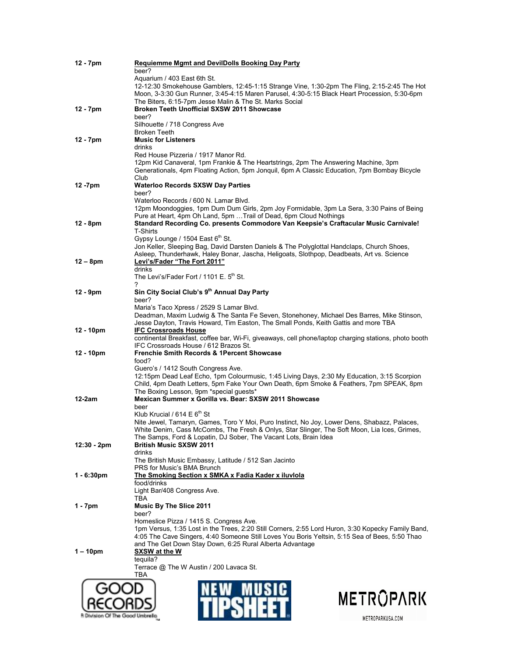| $12 - 7$ pm | <b>Requiemme Mgmt and DevilDolls Booking Day Party</b>                                                                                                  |
|-------------|---------------------------------------------------------------------------------------------------------------------------------------------------------|
|             | beer?                                                                                                                                                   |
|             | Aquarium / 403 East 6th St.                                                                                                                             |
|             | 12-12:30 Smokehouse Gamblers, 12:45-1:15 Strange Vine, 1:30-2pm The Fling, 2:15-2:45 The Hot                                                            |
|             | Moon, 3-3:30 Gun Runner, 3:45-4:15 Maren Parusel, 4:30-5:15 Black Heart Procession, 5:30-6pm<br>The Biters, 6:15-7pm Jesse Malin & The St. Marks Social |
| $12 - 7$ pm | <b>Broken Teeth Unofficial SXSW 2011 Showcase</b>                                                                                                       |
|             | beer?                                                                                                                                                   |
|             | Silhouette / 718 Congress Ave                                                                                                                           |
|             | <b>Broken Teeth</b>                                                                                                                                     |
| 12 - 7pm    | <b>Music for Listeners</b>                                                                                                                              |
|             | drinks                                                                                                                                                  |
|             | Red House Pizzeria / 1917 Manor Rd.                                                                                                                     |
|             | 12pm Kid Canaveral, 1pm Frankie & The Heartstrings, 2pm The Answering Machine, 3pm                                                                      |
|             | Generationals, 4pm Floating Action, 5pm Jonquil, 6pm A Classic Education, 7pm Bombay Bicycle                                                            |
|             | Club                                                                                                                                                    |
| 12 -7pm     | <b>Waterloo Records SXSW Day Parties</b><br>beer?                                                                                                       |
|             | Waterloo Records / 600 N. Lamar Blvd.                                                                                                                   |
|             | 12pm Moondoggies, 1pm Dum Dum Girls, 2pm Joy Formidable, 3pm La Sera, 3:30 Pains of Being                                                               |
|             | Pure at Heart, 4pm Oh Land, 5pm  Trail of Dead, 6pm Cloud Nothings                                                                                      |
| 12 - 8pm    | Standard Recording Co. presents Commodore Van Keepsie's Craftacular Music Carnivale!                                                                    |
|             | T-Shirts                                                                                                                                                |
|             | Gypsy Lounge / 1504 East 6 <sup>th</sup> St.                                                                                                            |
|             | Jon Keller, Sleeping Bag, David Darsten Daniels & The Polyglottal Handclaps, Church Shoes,                                                              |
|             | Asleep, Thunderhawk, Haley Bonar, Jascha, Heligoats, Slothpop, Deadbeats, Art vs. Science                                                               |
| $12 - 8pm$  | Levi's/Fader "The Fort 2011"                                                                                                                            |
|             | drinks                                                                                                                                                  |
|             | The Levi's/Fader Fort / 1101 E. $5th$ St.                                                                                                               |
| $12 - 9pm$  | Sin City Social Club's 9th Annual Day Party                                                                                                             |
|             | beer?                                                                                                                                                   |
|             | Maria's Taco Xpress / 2529 S Lamar Blvd.                                                                                                                |
|             | Deadman, Maxim Ludwig & The Santa Fe Seven, Stonehoney, Michael Des Barres, Mike Stinson,                                                               |
|             | Jesse Dayton, Travis Howard, Tim Easton, The Small Ponds, Keith Gattis and more TBA                                                                     |
| 12 - 10pm   | <b>IFC Crossroads House</b>                                                                                                                             |
|             | continental Breakfast, coffee bar, Wi-Fi, giveaways, cell phone/laptop charging stations, photo booth                                                   |
|             | IFC Crossroads House / 612 Brazos St.                                                                                                                   |
| 12 - 10pm   | <b>Frenchie Smith Records &amp; 1Percent Showcase</b>                                                                                                   |
|             | food?                                                                                                                                                   |
|             | Guero's / 1412 South Congress Ave.<br>12:15pm Dead Leaf Echo, 1pm Colourmusic, 1:45 Living Days, 2:30 My Education, 3:15 Scorpion                       |
|             | Child, 4pm Death Letters, 5pm Fake Your Own Death, 6pm Smoke & Feathers, 7pm SPEAK, 8pm                                                                 |
|             | The Boxing Lesson, 9pm *special guests*                                                                                                                 |
| $12-2am$    | Mexican Summer x Gorilla vs. Bear: SXSW 2011 Showcase                                                                                                   |
|             | beer                                                                                                                                                    |
|             | Klub Krucial / 614 $E$ 6 <sup>th</sup> St                                                                                                               |
|             | Nite Jewel, Tamaryn, Games, Toro Y Moi, Puro Instinct, No Joy, Lower Dens, Shabazz, Palaces,                                                            |
|             | White Denim, Cass McCombs, The Fresh & Onlys, Star Slinger, The Soft Moon, Lia Ices, Grimes,                                                            |
|             | The Samps, Ford & Lopatin, DJ Sober, The Vacant Lots, Brain Idea                                                                                        |
| 12:30 - 2pm | <b>British Music SXSW 2011</b>                                                                                                                          |
|             | drinks<br>The British Music Embassy, Latitude / 512 San Jacinto                                                                                         |
|             | PRS for Music's BMA Brunch                                                                                                                              |
| 1 - 6:30pm  | The Smoking Section x SMKA x Fadia Kader x iluvlola                                                                                                     |
|             | food/drinks                                                                                                                                             |
|             | Light Bar/408 Congress Ave.                                                                                                                             |
|             | TBA                                                                                                                                                     |
| $1 - 7$ pm  | <b>Music By The Slice 2011</b>                                                                                                                          |
|             | beer?                                                                                                                                                   |
|             | Homeslice Pizza / 1415 S. Congress Ave.                                                                                                                 |
|             | 1pm Versus, 1:35 Lost in the Trees, 2:20 Still Corners, 2:55 Lord Huron, 3:30 Kopecky Family Band,                                                      |
|             | 4:05 The Cave Singers, 4:40 Someone Still Loves You Boris Yeltsin, 5:15 Sea of Bees, 5:50 Thao                                                          |
|             | and The Get Down Stay Down, 6:25 Rural Alberta Advantage                                                                                                |
| $1 - 10pm$  | <u>SXSW at the W</u><br>tequila?                                                                                                                        |
|             | Terrace @ The W Austin / 200 Lavaca St.                                                                                                                 |
|             | TBA                                                                                                                                                     |
|             |                                                                                                                                                         |
|             |                                                                                                                                                         |
|             | METROPARK                                                                                                                                               |
|             |                                                                                                                                                         |

**R** Division Of The Good Umbrello

**TH OIIEE** I.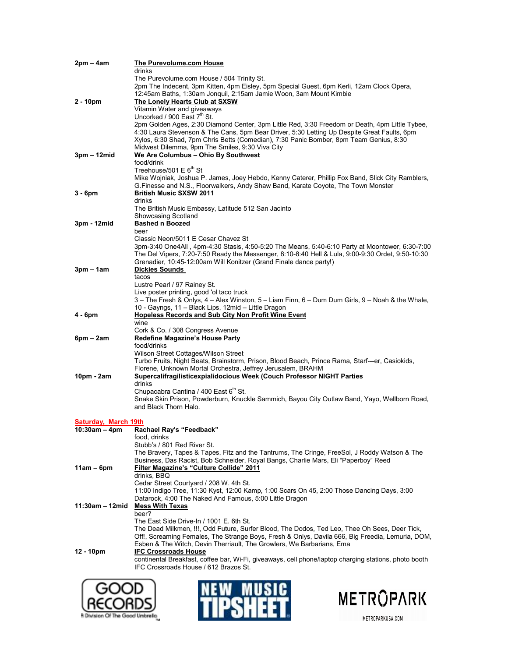| 2pm – 4am            | The Purevolume.com House                                                                                                                                                                      |
|----------------------|-----------------------------------------------------------------------------------------------------------------------------------------------------------------------------------------------|
|                      | drinks                                                                                                                                                                                        |
|                      | The Purevolume.com House / 504 Trinity St.<br>2pm The Indecent, 3pm Kitten, 4pm Eisley, 5pm Special Guest, 6pm Kerli, 12am Clock Opera,                                                       |
|                      | 12:45am Baths, 1:30am Jonquil, 2:15am Jamie Woon, 3am Mount Kimbie                                                                                                                            |
| 2 - 10pm             | The Lonely Hearts Club at SXSW                                                                                                                                                                |
|                      | Vitamin Water and giveaways                                                                                                                                                                   |
|                      | Uncorked / 900 East 7 <sup>th</sup> St.                                                                                                                                                       |
|                      | 2pm Golden Ages, 2:30 Diamond Center, 3pm Little Red, 3:30 Freedom or Death, 4pm Little Tybee,<br>4:30 Laura Stevenson & The Cans, 5pm Bear Driver, 5:30 Letting Up Despite Great Faults, 6pm |
|                      | Xylos, 6:30 Shad, 7pm Chris Betts (Comedian), 7:30 Panic Bomber, 8pm Team Genius, 8:30                                                                                                        |
|                      | Midwest Dilemma, 9pm The Smiles, 9:30 Viva City                                                                                                                                               |
| 3pm – 12mid          | We Are Columbus - Ohio By Southwest                                                                                                                                                           |
|                      | food/drink                                                                                                                                                                                    |
|                      | Treehouse/501 E 6 <sup>th</sup> St                                                                                                                                                            |
|                      | Mike Wojniak, Joshua P. James, Joey Hebdo, Kenny Caterer, Phillip Fox Band, Slick City Ramblers,<br>G. Finesse and N.S., Floorwalkers, Andy Shaw Band, Karate Coyote, The Town Monster        |
| 3 - 6pm              | <b>British Music SXSW 2011</b>                                                                                                                                                                |
|                      | drinks                                                                                                                                                                                        |
|                      | The British Music Embassy, Latitude 512 San Jacinto                                                                                                                                           |
|                      | Showcasing Scotland                                                                                                                                                                           |
| 3pm - 12mid          | <b>Bashed n Boozed</b><br>beer                                                                                                                                                                |
|                      | Classic Neon/5011 E Cesar Chavez St                                                                                                                                                           |
|                      | 3pm-3:40 One4All, 4pm-4:30 Stasis, 4:50-5:20 The Means, 5:40-6:10 Party at Moontower, 6:30-7:00                                                                                               |
|                      | The Del Vipers, 7:20-7:50 Ready the Messenger, 8:10-8:40 Hell & Lula, 9:00-9:30 Ordet, 9:50-10:30                                                                                             |
|                      | Grenadier, 10:45-12:00am Will Konitzer (Grand Finale dance party!)                                                                                                                            |
| 3pm – 1am            | <b>Dickies Sounds</b><br>tacos                                                                                                                                                                |
|                      | Lustre Pearl / 97 Rainey St.                                                                                                                                                                  |
|                      | Live poster printing, good 'ol taco truck                                                                                                                                                     |
|                      | 3 – The Fresh & Onlys, 4 – Alex Winston, 5 – Liam Finn, 6 – Dum Dum Girls, 9 – Noah & the Whale,                                                                                              |
|                      | 10 - Gayngs, 11 - Black Lips, 12mid - Little Dragon                                                                                                                                           |
| 4 - 6pm              | Hopeless Records and Sub City Non Profit Wine Event                                                                                                                                           |
|                      | wine<br>Cork & Co. / 308 Congress Avenue                                                                                                                                                      |
| 6pm – 2am            | Redefine Magazine's House Party                                                                                                                                                               |
|                      | food/drinks                                                                                                                                                                                   |
|                      | Wilson Street Cottages/Wilson Street                                                                                                                                                          |
|                      | Turbo Fruits, Night Beats, Brainstorm, Prison, Blood Beach, Prince Rama, Starf---er, Casiokids,                                                                                               |
| 10pm - 2am           | Florene, Unknown Mortal Orchestra, Jeffrey Jerusalem, BRAHM<br>Supercalifragilisticexpialidocious Week (Couch Professor NIGHT Parties                                                         |
|                      | drinks                                                                                                                                                                                        |
|                      | Chupacabra Cantina / 400 East 6th St.                                                                                                                                                         |
|                      | Snake Skin Prison, Powderburn, Knuckle Sammich, Bayou City Outlaw Band, Yayo, Wellborn Road,                                                                                                  |
|                      | and Black Thorn Halo.                                                                                                                                                                         |
| Saturday, March 19th |                                                                                                                                                                                               |
| 10:30am – 4pm        | Rachael Rav's "Feedback"                                                                                                                                                                      |
|                      | food, drinks                                                                                                                                                                                  |
|                      | Stubb's / 801 Red River St.                                                                                                                                                                   |
|                      | The Bravery, Tapes & Tapes, Fitz and the Tantrums, The Cringe, FreeSol, J Roddy Watson & The                                                                                                  |
| 11am – 6pm           | Business, Das Racist, Bob Schneider, Royal Bangs, Charlie Mars, Eli "Paperboy" Reed<br><b>Filter Magazine's "Culture Collide" 2011</b>                                                        |
|                      | drinks, BBQ                                                                                                                                                                                   |
|                      | Cedar Street Courtyard / 208 W. 4th St.                                                                                                                                                       |
|                      | 11:00 Indigo Tree, 11:30 Kyst, 12:00 Kamp, 1:00 Scars On 45, 2:00 Those Dancing Days, 3:00                                                                                                    |
|                      | Datarock, 4:00 The Naked And Famous, 5:00 Little Dragon                                                                                                                                       |
| 11:30am – 12mid      | <b>Mess With Texas</b><br>beer?                                                                                                                                                               |
|                      | The East Side Drive-In / 1001 E. 6th St.                                                                                                                                                      |
|                      | The Dead Milkmen, !!!, Odd Future, Surfer Blood, The Dodos, Ted Leo, Thee Oh Sees, Deer Tick,                                                                                                 |
|                      | Off!, Screaming Females, The Strange Boys, Fresh & Onlys, Davila 666, Big Freedia, Lemuria, DOM,                                                                                              |
|                      | Esben & The Witch, Devin Therriault, The Growlers, We Barbarians, Ema                                                                                                                         |
| 12 - 10pm            | <b>IFC Crossroads House</b><br>continental Breakfast, coffee bar, Wi-Fi, giveaways, cell phone/laptop charging stations, photo booth                                                          |
|                      | IFC Crossroads House / 612 Brazos St.                                                                                                                                                         |
|                      |                                                                                                                                                                                               |
| COM                  | NEW MILCIA                                                                                                                                                                                    |